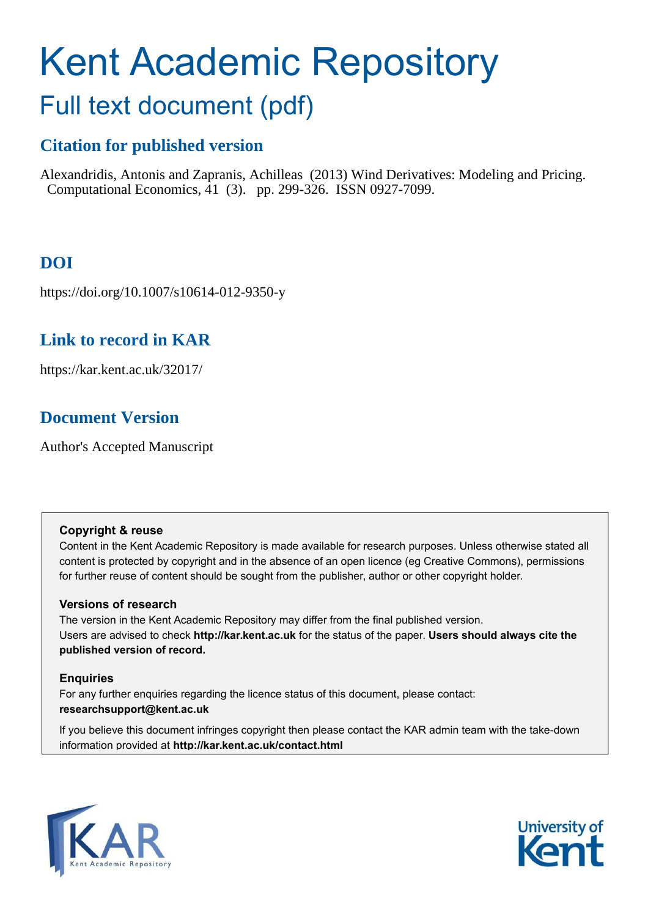# Kent Academic Repository

## Full text document (pdf)

## **Citation for published version**

Alexandridis, Antonis and Zapranis, Achilleas (2013) Wind Derivatives: Modeling and Pricing. Computational Economics, 41 (3). pp. 299-326. ISSN 0927-7099.

## **DOI**

https://doi.org/10.1007/s10614-012-9350-y

## **Link to record in KAR**

https://kar.kent.ac.uk/32017/

## **Document Version**

Author's Accepted Manuscript

#### **Copyright & reuse**

Content in the Kent Academic Repository is made available for research purposes. Unless otherwise stated all content is protected by copyright and in the absence of an open licence (eg Creative Commons), permissions for further reuse of content should be sought from the publisher, author or other copyright holder.

#### **Versions of research**

The version in the Kent Academic Repository may differ from the final published version. Users are advised to check **http://kar.kent.ac.uk** for the status of the paper. **Users should always cite the published version of record.**

#### **Enquiries**

For any further enquiries regarding the licence status of this document, please contact: **researchsupport@kent.ac.uk**

If you believe this document infringes copyright then please contact the KAR admin team with the take-down information provided at **http://kar.kent.ac.uk/contact.html**



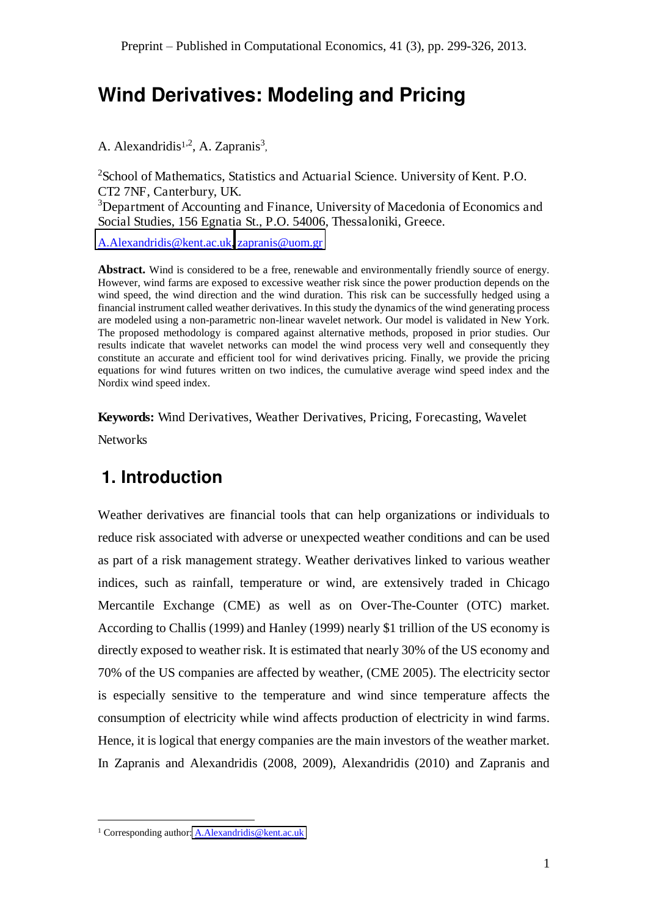## **Wind Derivatives: Modeling and Pricing**

A. Alexandridis<sup>1,2</sup>, A. Zapranis<sup>3</sup>,

<sup>2</sup>School of Mathematics, Statistics and Actuarial Science. University of Kent. P.O. CT2 7NF, Canterbury, UK. <sup>3</sup>Department of Accounting and Finance, University of Macedonia of Economics and Social Studies, 156 Egnatia St., P.O. 54006, Thessaloniki, Greece.

[A.Alexandridis@kent.ac.uk,](mailto:A.Alexandridis@kent.ac.uk) [zapranis@uom.gr](mailto:zapranis@uom.gr) 

Abstract. Wind is considered to be a free, renewable and environmentally friendly source of energy. However, wind farms are exposed to excessive weather risk since the power production depends on the wind speed, the wind direction and the wind duration. This risk can be successfully hedged using a financial instrument called weather derivatives. In this study the dynamics of the wind generating process are modeled using a non-parametric non-linear wavelet network. Our model is validated in New York. The proposed methodology is compared against alternative methods, proposed in prior studies. Our results indicate that wavelet networks can model the wind process very well and consequently they constitute an accurate and efficient tool for wind derivatives pricing. Finally, we provide the pricing equations for wind futures written on two indices, the cumulative average wind speed index and the Nordix wind speed index.

**Keywords:** Wind Derivatives, Weather Derivatives, Pricing, Forecasting, Wavelet Networks

#### **1. Introduction**

Weather derivatives are financial tools that can help organizations or individuals to reduce risk associated with adverse or unexpected weather conditions and can be used as part of a risk management strategy. Weather derivatives linked to various weather indices, such as rainfall, temperature or wind, are extensively traded in Chicago Mercantile Exchange (CME) as well as on Over-The-Counter (OTC) market. According to Challis (1999) and Hanley (1999) nearly \$1 trillion of the US economy is directly exposed to weather risk. It is estimated that nearly 30% of the US economy and 70% of the US companies are affected by weather, (CME 2005). The electricity sector is especially sensitive to the temperature and wind since temperature affects the consumption of electricity while wind affects production of electricity in wind farms. Hence, it is logical that energy companies are the main investors of the weather market. In Zapranis and Alexandridis (2008, 2009), Alexandridis (2010) and Zapranis and

<u>.</u>

<sup>&</sup>lt;sup>1</sup> Corresponding author: **A.Alexandridis@kent.ac.uk**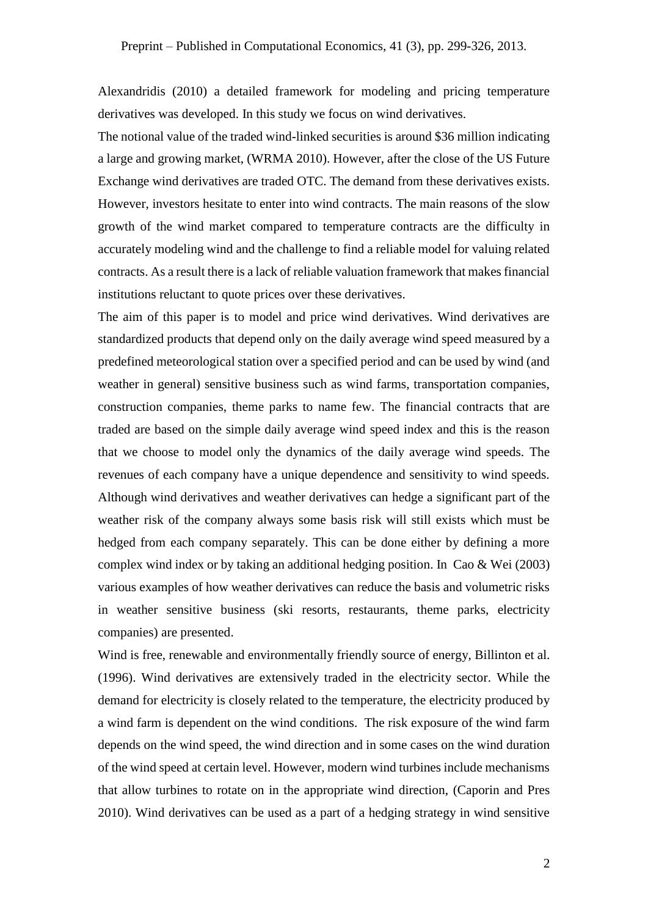Alexandridis (2010) a detailed framework for modeling and pricing temperature derivatives was developed. In this study we focus on wind derivatives.

The notional value of the traded wind-linked securities is around \$36 million indicating a large and growing market, (WRMA 2010). However, after the close of the US Future Exchange wind derivatives are traded OTC. The demand from these derivatives exists. However, investors hesitate to enter into wind contracts. The main reasons of the slow growth of the wind market compared to temperature contracts are the difficulty in accurately modeling wind and the challenge to find a reliable model for valuing related contracts. As a result there is a lack of reliable valuation framework that makes financial institutions reluctant to quote prices over these derivatives.

The aim of this paper is to model and price wind derivatives. Wind derivatives are standardized products that depend only on the daily average wind speed measured by a predefined meteorological station over a specified period and can be used by wind (and weather in general) sensitive business such as wind farms, transportation companies, construction companies, theme parks to name few. The financial contracts that are traded are based on the simple daily average wind speed index and this is the reason that we choose to model only the dynamics of the daily average wind speeds. The revenues of each company have a unique dependence and sensitivity to wind speeds. Although wind derivatives and weather derivatives can hedge a significant part of the weather risk of the company always some basis risk will still exists which must be hedged from each company separately. This can be done either by defining a more complex wind index or by taking an additional hedging position. In Cao & Wei (2003) various examples of how weather derivatives can reduce the basis and volumetric risks in weather sensitive business (ski resorts, restaurants, theme parks, electricity companies) are presented.

Wind is free, renewable and environmentally friendly source of energy, Billinton et al. (1996). Wind derivatives are extensively traded in the electricity sector. While the demand for electricity is closely related to the temperature, the electricity produced by a wind farm is dependent on the wind conditions. The risk exposure of the wind farm depends on the wind speed, the wind direction and in some cases on the wind duration of the wind speed at certain level. However, modern wind turbines include mechanisms that allow turbines to rotate on in the appropriate wind direction, (Caporin and Pres 2010). Wind derivatives can be used as a part of a hedging strategy in wind sensitive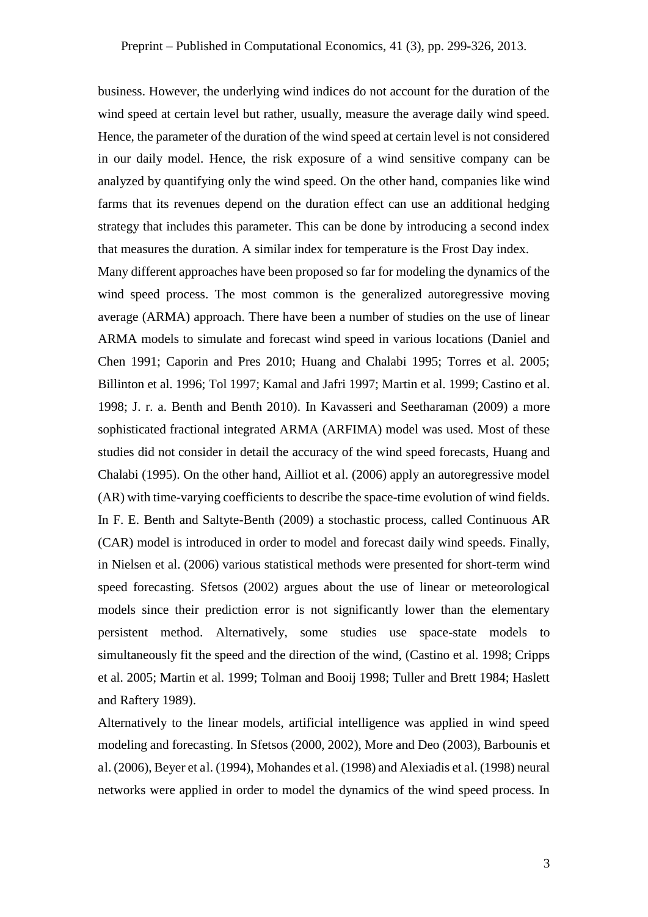business. However, the underlying wind indices do not account for the duration of the wind speed at certain level but rather, usually, measure the average daily wind speed. Hence, the parameter of the duration of the wind speed at certain level is not considered in our daily model. Hence, the risk exposure of a wind sensitive company can be analyzed by quantifying only the wind speed. On the other hand, companies like wind farms that its revenues depend on the duration effect can use an additional hedging strategy that includes this parameter. This can be done by introducing a second index that measures the duration. A similar index for temperature is the Frost Day index.

Many different approaches have been proposed so far for modeling the dynamics of the wind speed process. The most common is the generalized autoregressive moving average (ARMA) approach. There have been a number of studies on the use of linear ARMA models to simulate and forecast wind speed in various locations (Daniel and Chen 1991; Caporin and Pres 2010; Huang and Chalabi 1995; Torres et al. 2005; Billinton et al. 1996; Tol 1997; Kamal and Jafri 1997; Martin et al. 1999; Castino et al. 1998; J. r. a. Benth and Benth 2010). In Kavasseri and Seetharaman (2009) a more sophisticated fractional integrated ARMA (ARFIMA) model was used. Most of these studies did not consider in detail the accuracy of the wind speed forecasts, Huang and Chalabi (1995). On the other hand, Ailliot et al. (2006) apply an autoregressive model (AR) with time-varying coefficients to describe the space-time evolution of wind fields. In F. E. Benth and Saltyte-Benth (2009) a stochastic process, called Continuous AR (CAR) model is introduced in order to model and forecast daily wind speeds. Finally, in Nielsen et al. (2006) various statistical methods were presented for short-term wind speed forecasting. Sfetsos (2002) argues about the use of linear or meteorological models since their prediction error is not significantly lower than the elementary persistent method. Alternatively, some studies use space-state models to simultaneously fit the speed and the direction of the wind, (Castino et al. 1998; Cripps et al. 2005; Martin et al. 1999; Tolman and Booij 1998; Tuller and Brett 1984; Haslett and Raftery 1989).

Alternatively to the linear models, artificial intelligence was applied in wind speed modeling and forecasting. In Sfetsos (2000, 2002), More and Deo (2003), Barbounis et al. (2006), Beyer et al. (1994), Mohandes et al. (1998) and Alexiadis et al. (1998) neural networks were applied in order to model the dynamics of the wind speed process. In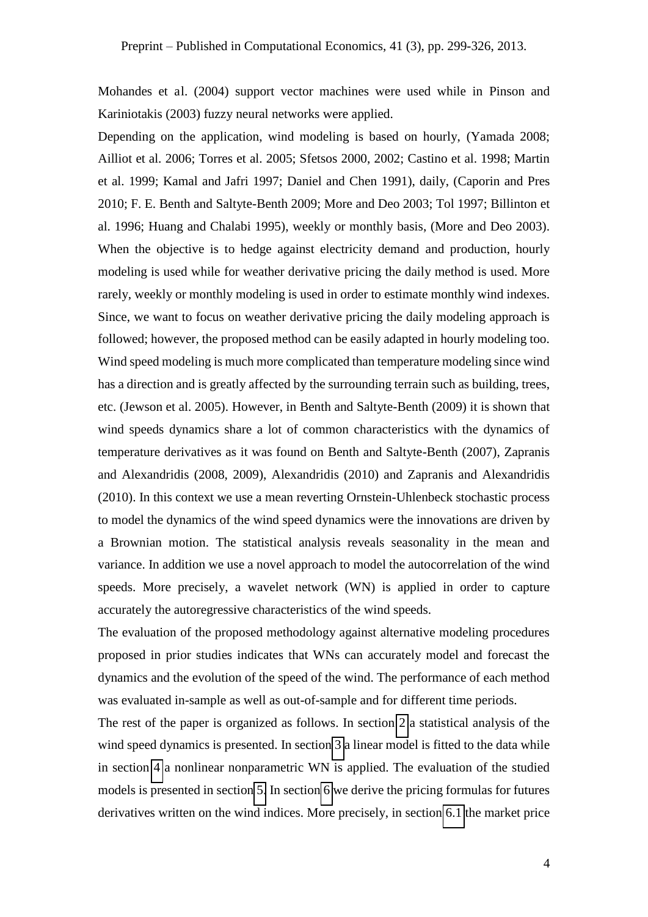Mohandes et al. (2004) support vector machines were used while in Pinson and Kariniotakis (2003) fuzzy neural networks were applied.

<span id="page-4-0"></span>Depending on the application, wind modeling is based on hourly, (Yamada 2008; Ailliot et al. 2006; Torres et al. 2005; Sfetsos 2000, 2002; Castino et al. 1998; Martin et al. 1999; Kamal and Jafri 1997; Daniel and Chen 1991), daily, (Caporin and Pres 2010; F. E. Benth and Saltyte-Benth 2009; More and Deo 2003; Tol 1997; Billinton et al. 1996; Huang and Chalabi 1995), weekly or monthly basis, (More and Deo 2003). When the objective is to hedge against electricity demand and production, hourly modeling is used while for weather derivative pricing the daily method is used. More rarely, weekly or monthly modeling is used in order to estimate monthly wind indexes. Since, we want to focus on weather derivative pricing the daily modeling approach is followed; however, the proposed method can be easily adapted in hourly modeling too. Wind speed modeling is much more complicated than temperature modeling since wind has a direction and is greatly affected by the surrounding terrain such as building, trees, etc. (Jewson et al. 2005). However, in Benth and Saltyte-Benth (2009) it is shown that wind speeds dynamics share a lot of common characteristics with the dynamics of temperature derivatives as it was found on Benth and Saltyte-Benth (2007), Zapranis and Alexandridis (2008, 2009), Alexandridis (2010) and Zapranis and Alexandridis (2010). In this context we use a mean reverting Ornstein-Uhlenbeck stochastic process to model the dynamics of the wind speed dynamics were the innovations are driven by a Brownian motion. The statistical analysis reveals seasonality in the mean and variance. In addition we use a novel approach to model the autocorrelation of the wind speeds. More precisely, a wavelet network (WN) is applied in order to capture accurately the autoregressive characteristics of the wind speeds.

The evaluation of the proposed methodology against alternative modeling procedures proposed in prior studies indicates that WNs can accurately model and forecast the dynamics and the evolution of the speed of the wind. The performance of each method was evaluated in-sample as well as out-of-sample and for different time periods.

The rest of the paper is organized as follows. In section [2](#page-4-0) a statistical analysis of the wind speed dynamics is presented. In section [3](#page-6-0) a linear model is fitted to the data while in section [4](#page-7-0) a nonlinear nonparametric WN is applied. The evaluation of the studied models is presented in section [5.](#page-12-0) In section [6](#page-14-0) we derive the pricing formulas for futures derivatives written on the wind indices. More precisely, in section [6.1](#page-16-0) the market price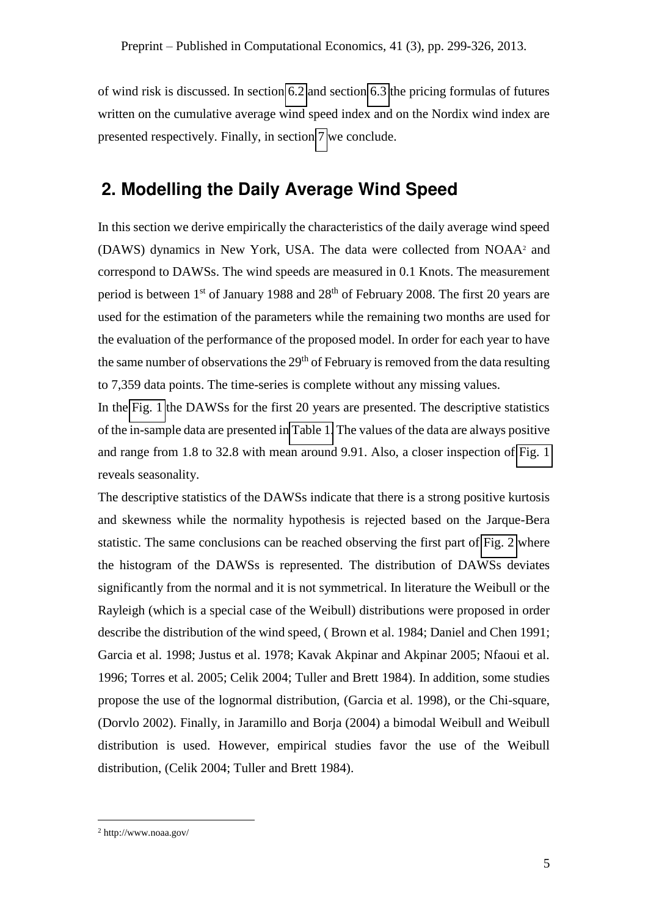of wind risk is discussed. In section [6.2](#page-18-0) and section [6.3](#page-19-0) the pricing formulas of futures written on the cumulative average wind speed index and on the Nordix wind index are presented respectively. Finally, in section [7](#page-21-0) we conclude.

#### **2. Modelling the Daily Average Wind Speed**

In this section we derive empirically the characteristics of the daily average wind speed (DAWS) dynamics in New York, USA. The data were collected from NOAA<sup>2</sup> and correspond to DAWSs. The wind speeds are measured in 0.1 Knots. The measurement period is between  $1<sup>st</sup>$  of January 1988 and  $28<sup>th</sup>$  of February 2008. The first 20 years are used for the estimation of the parameters while the remaining two months are used for the evaluation of the performance of the proposed model. In order for each year to have the same number of observations the  $29<sup>th</sup>$  of February is removed from the data resulting to 7,359 data points. The time-series is complete without any missing values.

In the [Fig. 1](#page-25-0) the DAWSs for the first 20 years are presented. The descriptive statistics of the in-sample data are presented in [Table 1.](#page-29-0) The values of the data are always positive and range from 1.8 to 32.8 with mean around 9.91. Also, a closer inspection of [Fig. 1](#page-25-0)  reveals seasonality.

The descriptive statistics of the DAWSs indicate that there is a strong positive kurtosis and skewness while the normality hypothesis is rejected based on the Jarque-Bera statistic. The same conclusions can be reached observing the first part of [Fig. 2](#page-25-1) where the histogram of the DAWSs is represented. The distribution of DAWSs deviates significantly from the normal and it is not symmetrical. In literature the Weibull or the Rayleigh (which is a special case of the Weibull) distributions were proposed in order describe the distribution of the wind speed, ( Brown et al. 1984; Daniel and Chen 1991; Garcia et al. 1998; Justus et al. 1978; Kavak Akpinar and Akpinar 2005; Nfaoui et al. 1996; Torres et al. 2005; Celik 2004; Tuller and Brett 1984). In addition, some studies propose the use of the lognormal distribution, (Garcia et al. 1998), or the Chi-square, (Dorvlo 2002). Finally, in Jaramillo and Borja (2004) a bimodal Weibull and Weibull distribution is used. However, empirical studies favor the use of the Weibull distribution, (Celik 2004; Tuller and Brett 1984).

<u>.</u>

<sup>2</sup> http://www.noaa.gov/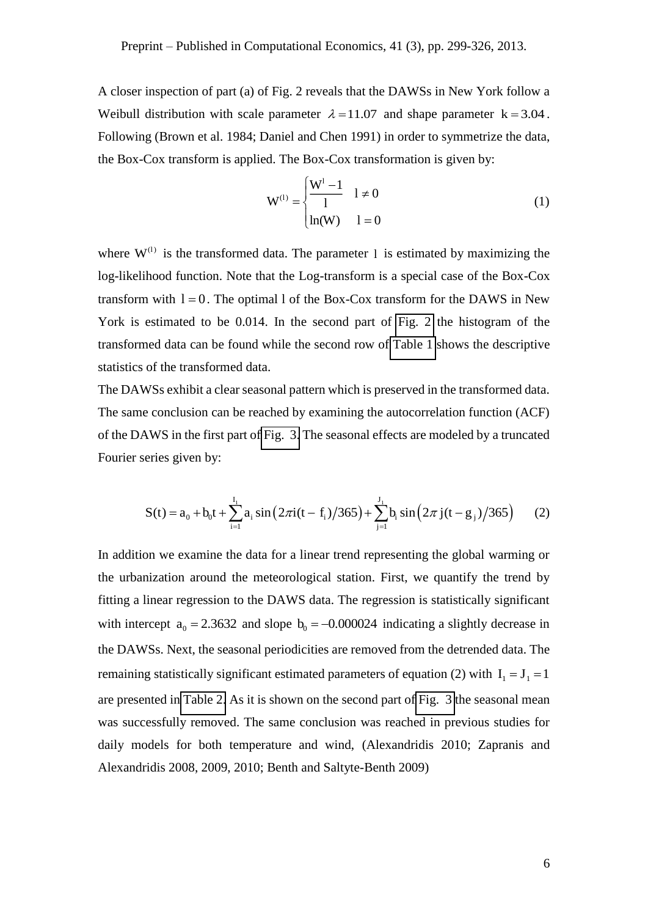<span id="page-6-0"></span>A closer inspection of part (a) of Fig. 2 reveals that the DAWSs in New York follow a Weibull distribution with scale parameter  $\lambda = 11.07$  and shape parameter  $k = 3.04$ . Following (Brown et al. 1984; Daniel and Chen 1991) in order to symmetrize the data, the Box-Cox transform is applied. The Box-Cox transformation is given by:

$$
W^{(1)} = \begin{cases} \frac{W^{1} - 1}{1} & 1 \neq 0 \\ \ln(W) & 1 = 0 \end{cases}
$$
 (1)

where  $W^{(1)}$  is the transformed data. The parameter 1 is estimated by maximizing the log-likelihood function. Note that the Log-transform is a special case of the Box-Cox transform with  $l = 0$ . The optimal l of the Box-Cox transform for the DAWS in New York is estimated to be 0.014. In the second part of [Fig. 2](#page-25-1) the histogram of the transformed data can be found while the second row of [Table 1](#page-29-0) shows the descriptive statistics of the transformed data.

The DAWSs exhibit a clear seasonal pattern which is preserved in the transformed data. The same conclusion can be reached by examining the autocorrelation function (ACF) of the DAWS in the first part of [Fig. 3.](#page-25-2) The seasonal effects are modeled by a truncated Fourier series given by:

$$
S(t) = a_0 + b_0 t + \sum_{i=1}^{I_1} a_i \sin(2\pi i (t - f_i)/365) + \sum_{j=1}^{J_1} b_j \sin(2\pi i (t - g_j)/365)
$$
 (2)

In addition we examine the data for a linear trend representing the global warming or the urbanization around the meteorological station. First, we quantify the trend by fitting a linear regression to the DAWS data. The regression is statistically significant with intercept  $a_0 = 2.3632$  and slope  $b_0 = -0.000024$  indicating a slightly decrease in the DAWSs. Next, the seasonal periodicities are removed from the detrended data. The remaining statistically significant estimated parameters of equation (2) with  $I_1 = J_1 = 1$ are presented in [Table 2.](#page-29-1) As it is shown on the second part of [Fig. 3](#page-25-2) the seasonal mean was successfully removed. The same conclusion was reached in previous studies for daily models for both temperature and wind, (Alexandridis 2010; Zapranis and Alexandridis 2008, 2009, 2010; Benth and Saltyte-Benth 2009)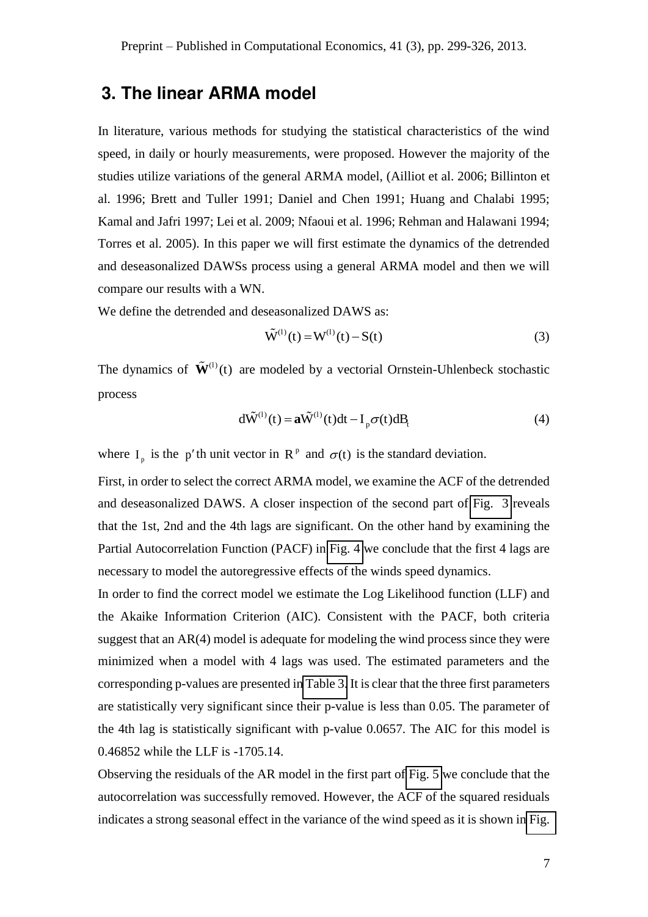#### **3. The linear ARMA model**

In literature, various methods for studying the statistical characteristics of the wind speed, in daily or hourly measurements, were proposed. However the majority of the studies utilize variations of the general ARMA model, (Ailliot et al. 2006; Billinton et al. 1996; Brett and Tuller 1991; Daniel and Chen 1991; Huang and Chalabi 1995; Kamal and Jafri 1997; Lei et al. 2009; Nfaoui et al. 1996; Rehman and Halawani 1994; Torres et al. 2005). In this paper we will first estimate the dynamics of the detrended and deseasonalized DAWSs process using a general ARMA model and then we will compare our results with a WN.

We define the detrended and deseasonalized DAWS as:

$$
\tilde{W}^{(1)}(t) = W^{(1)}(t) - S(t)
$$
\n(3)

The dynamics of  $\tilde{W}^{(1)}(t)$  are modeled by a vectorial Ornstein-Uhlenbeck stochastic process

$$
d\tilde{W}^{(1)}(t) = \mathbf{a}\tilde{W}^{(1)}(t)dt - I_{p}\sigma(t)dB_{t}
$$
 (4)

where  $I_p$  is the p'th unit vector in  $R^p$  and  $\sigma(t)$  is the standard deviation.

First, in order to select the correct ARMA model, we examine the ACF of the detrended and deseasonalized DAWS. A closer inspection of the second part of [Fig. 3](#page-25-2) reveals that the 1st, 2nd and the 4th lags are significant. On the other hand by examining the Partial Autocorrelation Function (PACF) in [Fig. 4](#page-26-0) we conclude that the first 4 lags are necessary to model the autoregressive effects of the winds speed dynamics.

<span id="page-7-0"></span>In order to find the correct model we estimate the Log Likelihood function (LLF) and the Akaike Information Criterion (AIC). Consistent with the PACF, both criteria suggest that an AR(4) model is adequate for modeling the wind process since they were minimized when a model with 4 lags was used. The estimated parameters and the corresponding p-values are presented in [Table 3.](#page-29-2) It is clear that the three first parameters are statistically very significant since their p-value is less than 0.05. The parameter of the 4th lag is statistically significant with p-value 0.0657. The AIC for this model is 0.46852 while the LLF is -1705.14.

Observing the residuals of the AR model in the first part of [Fig. 5](#page-26-1) we conclude that the autocorrelation was successfully removed. However, the ACF of the squared residuals indicates a strong seasonal effect in the variance of the wind speed as it is shown in [Fig.](#page-26-2)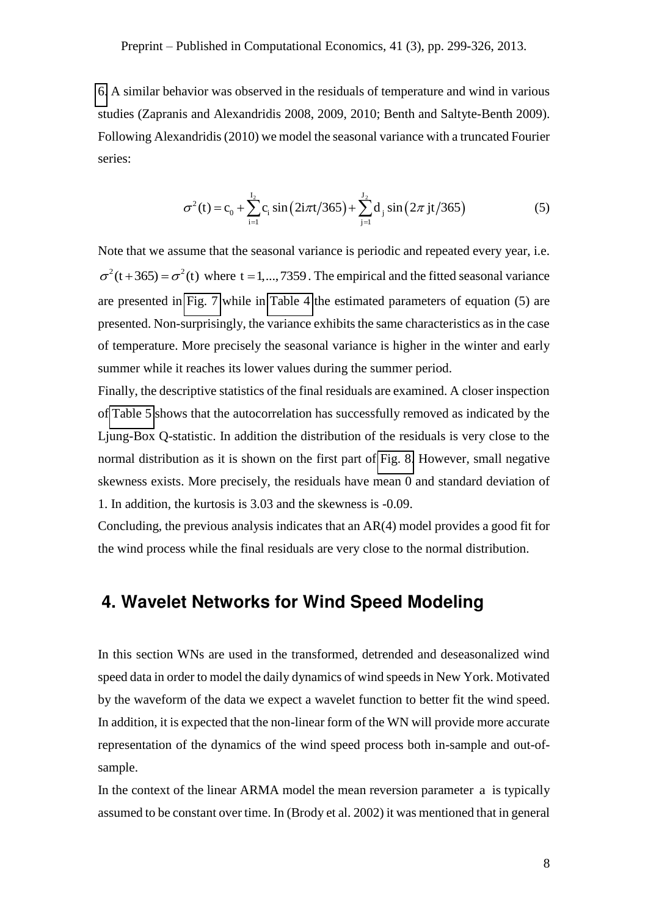[6.](#page-26-2) A similar behavior was observed in the residuals of temperature and wind in various studies (Zapranis and Alexandridis 2008, 2009, 2010; Benth and Saltyte-Benth 2009). Following Alexandridis (2010) we model the seasonal variance with a truncated Fourier series:

$$
\sigma^{2}(t) = c_{0} + \sum_{i=1}^{I_{2}} c_{i} \sin(2i\pi t/365) + \sum_{j=1}^{J_{2}} d_{j} \sin(2\pi j t/365)
$$
(5)

Note that we assume that the seasonal variance is periodic and repeated every year, i.e.  $\sigma^2$ (t + 365) =  $\sigma^2$ (t) where t = 1,...,7359. The empirical and the fitted seasonal variance are presented in [Fig. 7](#page-26-3) while in [Table 4](#page-29-3) the estimated parameters of equation (5) are presented. Non-surprisingly, the variance exhibits the same characteristics as in the case of temperature. More precisely the seasonal variance is higher in the winter and early summer while it reaches its lower values during the summer period.

Finally, the descriptive statistics of the final residuals are examined. A closer inspection of [Table 5](#page-29-4) shows that the autocorrelation has successfully removed as indicated by the Ljung-Box Q-statistic. In addition the distribution of the residuals is very close to the normal distribution as it is shown on the first part of [Fig. 8.](#page-27-0) However, small negative skewness exists. More precisely, the residuals have mean 0 and standard deviation of 1. In addition, the kurtosis is 3.03 and the skewness is -0.09.

Concluding, the previous analysis indicates that an AR(4) model provides a good fit for the wind process while the final residuals are very close to the normal distribution.

#### **4. Wavelet Networks for Wind Speed Modeling**

In this section WNs are used in the transformed, detrended and deseasonalized wind speed data in order to model the daily dynamics of wind speeds in New York. Motivated by the waveform of the data we expect a wavelet function to better fit the wind speed. In addition, it is expected that the non-linear form of the WN will provide more accurate representation of the dynamics of the wind speed process both in-sample and out-ofsample.

In the context of the linear ARMA model the mean reversion parameter a is typically assumed to be constant over time. In (Brody et al. 2002) it was mentioned that in general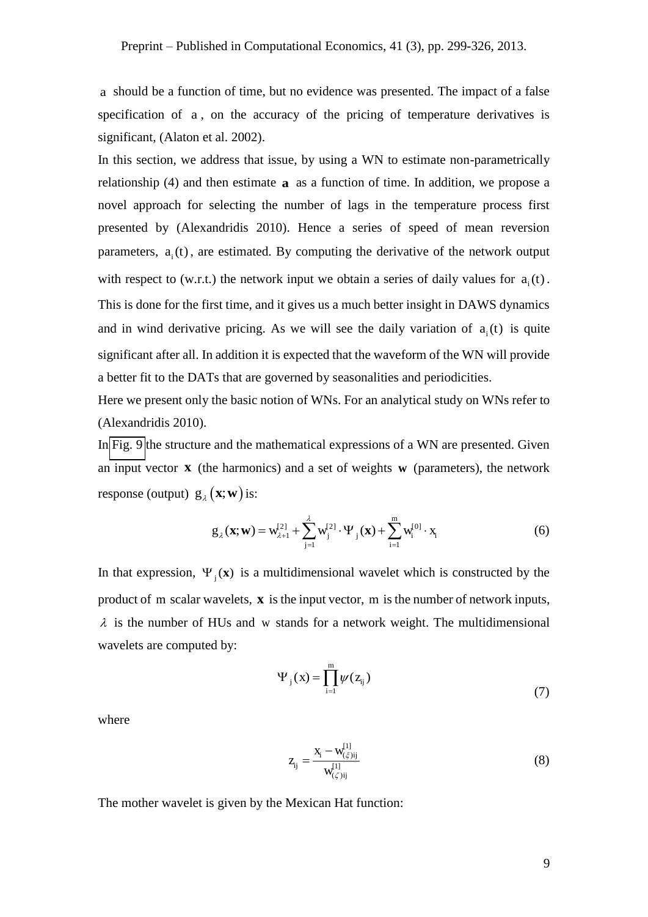<sup>a</sup> should be a function of time, but no evidence was presented. The impact of a false specification of <sup>a</sup> , on the accuracy of the pricing of temperature derivatives is significant, (Alaton et al. 2002).

In this section, we address that issue, by using a WN to estimate non-parametrically relationship (4) and then estimate **a** as a function of time. In addition, we propose a novel approach for selecting the number of lags in the temperature process first presented by (Alexandridis 2010). Hence a series of speed of mean reversion parameters,  $a_i(t)$ , are estimated. By computing the derivative of the network output with respect to (w.r.t.) the network input we obtain a series of daily values for  $a_i(t)$ . This is done for the first time, and it gives us a much better insight in DAWS dynamics and in wind derivative pricing. As we will see the daily variation of  $a_i(t)$  is quite significant after all. In addition it is expected that the waveform of the WN will provide a better fit to the DATs that are governed by seasonalities and periodicities.

Here we present only the basic notion of WNs. For an analytical study on WNs refer to (Alexandridis 2010).

In [Fig. 9](#page-27-1) the structure and the mathematical expressions of a WN are presented. Given an input vector **x** (the harmonics) and a set of weights **w** (parameters), the network response (output)  $g_{\lambda}(\mathbf{x}; \mathbf{w})$  is:

$$
g_{\lambda}(\mathbf{x}; \mathbf{w}) = w_{\lambda+1}^{[2]} + \sum_{j=1}^{\lambda} w_j^{[2]} \cdot \Psi_j(\mathbf{x}) + \sum_{i=1}^{m} w_i^{[0]} \cdot x_i
$$
 (6)

In that expression,  $\Psi_j(x)$  is a multidimensional wavelet which is constructed by the product of m scalar wavelets, **x** is the input vector, m is the number of network inputs,  $\lambda$  is the number of HUs and w stands for a network weight. The multidimensional wavelets are computed by:

$$
\Psi_{j}(x) = \prod_{i=1}^{m} \psi(z_{ij})
$$
\n(7)

where

$$
Z_{ij} = \frac{X_i - W_{(\xi)ij}^{[1]}}{W_{(\xi)ij}^{[1]}} \tag{8}
$$

The mother wavelet is given by the Mexican Hat function: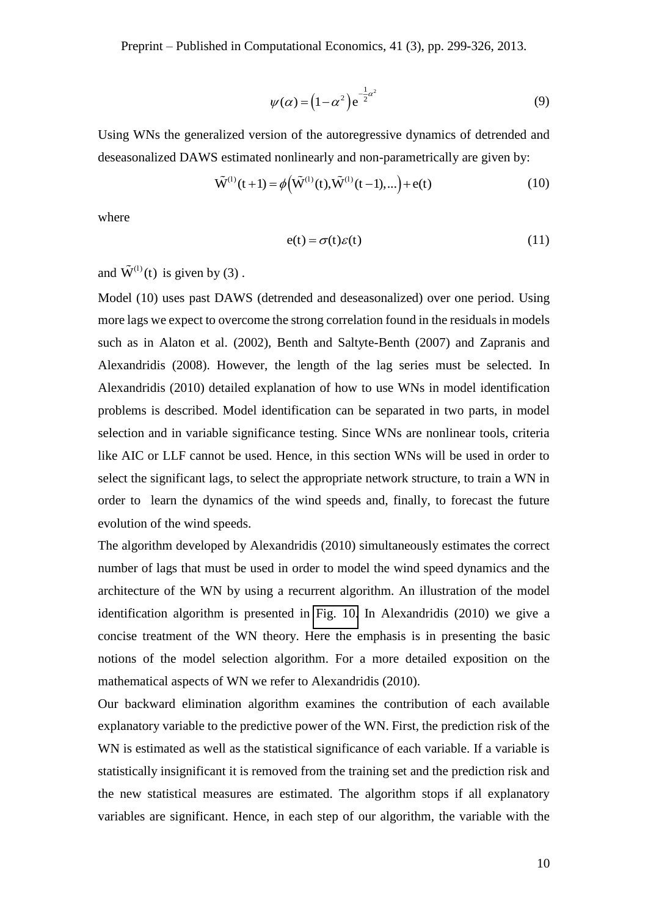Preprint – Published in Computational Economics, 41 (3), pp. 299-326, 2013.

$$
\psi(\alpha) = \left(1 - \alpha^2\right) e^{-\frac{1}{2}\alpha^2} \tag{9}
$$

Using WNs the generalized version of the autoregressive dynamics of detrended and deseasonalized DAWS estimated nonlinearly and non-parametrically are given by:

$$
\tilde{W}^{(1)}(t+1) = \phi\big(\tilde{W}^{(1)}(t), \tilde{W}^{(1)}(t-1), \dots\big) + e(t)
$$
\n(10)

where

$$
e(t) = \sigma(t)\varepsilon(t) \tag{11}
$$

and  $\tilde{W}^{(1)}(t)$  is given by (3).

Model (10) uses past DAWS (detrended and deseasonalized) over one period. Using more lags we expect to overcome the strong correlation found in the residuals in models such as in Alaton et al. (2002), Benth and Saltyte-Benth (2007) and Zapranis and Alexandridis (2008). However, the length of the lag series must be selected. In Alexandridis (2010) detailed explanation of how to use WNs in model identification problems is described. Model identification can be separated in two parts, in model selection and in variable significance testing. Since WNs are nonlinear tools, criteria like AIC or LLF cannot be used. Hence, in this section WNs will be used in order to select the significant lags, to select the appropriate network structure, to train a WN in order to learn the dynamics of the wind speeds and, finally, to forecast the future evolution of the wind speeds.

The algorithm developed by Alexandridis (2010) simultaneously estimates the correct number of lags that must be used in order to model the wind speed dynamics and the architecture of the WN by using a recurrent algorithm. An illustration of the model identification algorithm is presented in [Fig. 10.](#page-28-0) In Alexandridis (2010) we give a concise treatment of the WN theory. Here the emphasis is in presenting the basic notions of the model selection algorithm. For a more detailed exposition on the mathematical aspects of WN we refer to Alexandridis (2010).

Our backward elimination algorithm examines the contribution of each available explanatory variable to the predictive power of the WN. First, the prediction risk of the WN is estimated as well as the statistical significance of each variable. If a variable is statistically insignificant it is removed from the training set and the prediction risk and the new statistical measures are estimated. The algorithm stops if all explanatory variables are significant. Hence, in each step of our algorithm, the variable with the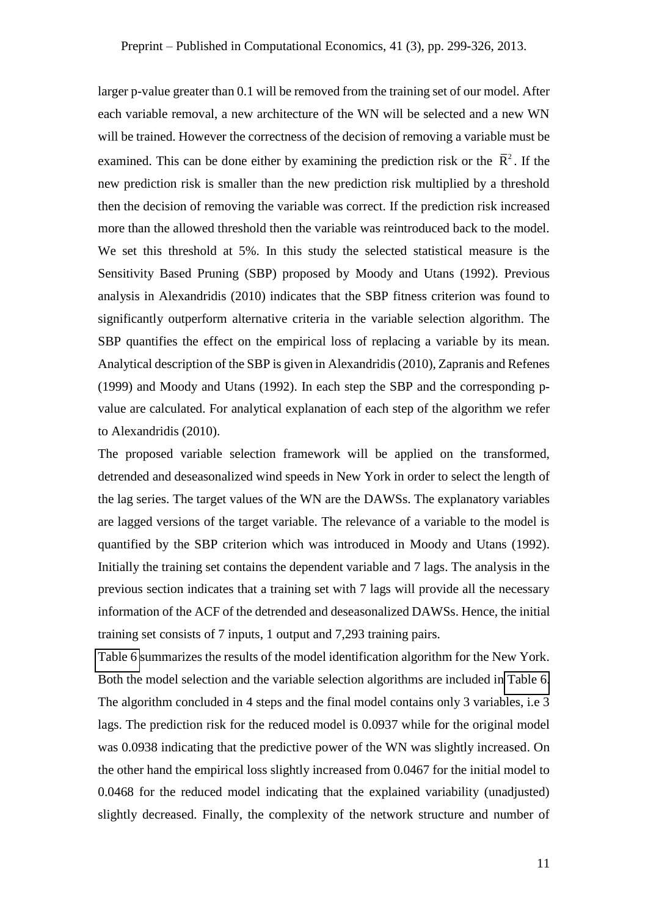larger p-value greater than 0.1 will be removed from the training set of our model. After each variable removal, a new architecture of the WN will be selected and a new WN will be trained. However the correctness of the decision of removing a variable must be examined. This can be done either by examining the prediction risk or the  $\overline{R}^2$ . If the new prediction risk is smaller than the new prediction risk multiplied by a threshold then the decision of removing the variable was correct. If the prediction risk increased more than the allowed threshold then the variable was reintroduced back to the model. We set this threshold at 5%. In this study the selected statistical measure is the Sensitivity Based Pruning (SBP) proposed by Moody and Utans (1992). Previous analysis in Alexandridis (2010) indicates that the SBP fitness criterion was found to significantly outperform alternative criteria in the variable selection algorithm. The SBP quantifies the effect on the empirical loss of replacing a variable by its mean. Analytical description of the SBP is given in Alexandridis (2010), Zapranis and Refenes (1999) and Moody and Utans (1992). In each step the SBP and the corresponding pvalue are calculated. For analytical explanation of each step of the algorithm we refer to Alexandridis (2010).

The proposed variable selection framework will be applied on the transformed, detrended and deseasonalized wind speeds in New York in order to select the length of the lag series. The target values of the WN are the DAWSs. The explanatory variables are lagged versions of the target variable. The relevance of a variable to the model is quantified by the SBP criterion which was introduced in Moody and Utans (1992). Initially the training set contains the dependent variable and 7 lags. The analysis in the previous section indicates that a training set with 7 lags will provide all the necessary information of the ACF of the detrended and deseasonalized DAWSs. Hence, the initial training set consists of 7 inputs, 1 output and 7,293 training pairs.

[Table 6](#page-30-0) summarizes the results of the model identification algorithm for the New York. Both the model selection and the variable selection algorithms are included in [Table 6.](#page-30-0) The algorithm concluded in 4 steps and the final model contains only 3 variables, i.e 3 lags. The prediction risk for the reduced model is 0.0937 while for the original model was 0.0938 indicating that the predictive power of the WN was slightly increased. On the other hand the empirical loss slightly increased from 0.0467 for the initial model to 0.0468 for the reduced model indicating that the explained variability (unadjusted) slightly decreased. Finally, the complexity of the network structure and number of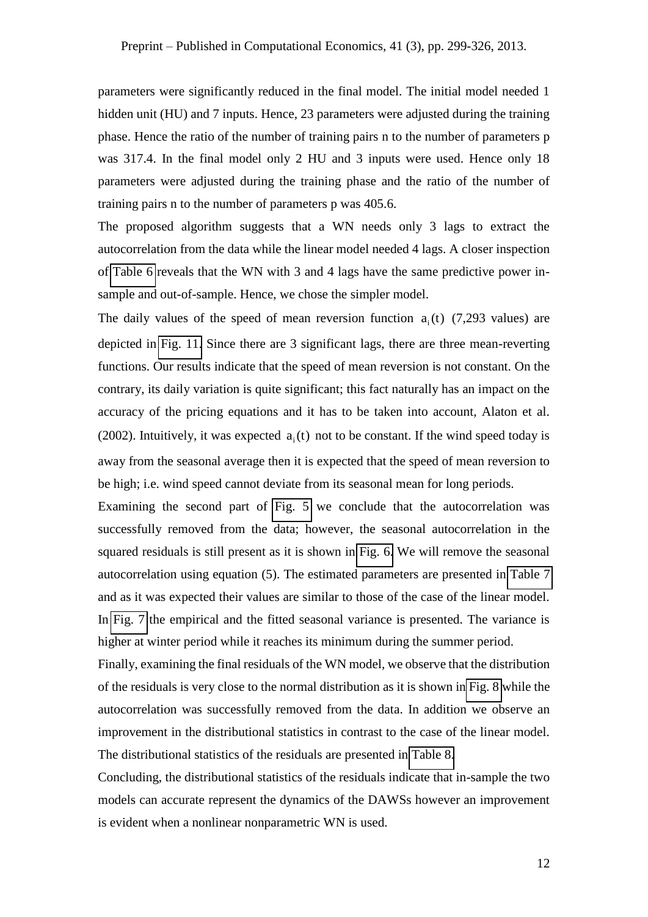<span id="page-12-0"></span>parameters were significantly reduced in the final model. The initial model needed 1 hidden unit (HU) and 7 inputs. Hence, 23 parameters were adjusted during the training phase. Hence the ratio of the number of training pairs n to the number of parameters p was 317.4. In the final model only 2 HU and 3 inputs were used. Hence only 18 parameters were adjusted during the training phase and the ratio of the number of training pairs n to the number of parameters p was 405.6.

The proposed algorithm suggests that a WN needs only 3 lags to extract the autocorrelation from the data while the linear model needed 4 lags. A closer inspection of [Table 6](#page-30-0) reveals that the WN with 3 and 4 lags have the same predictive power insample and out-of-sample. Hence, we chose the simpler model.

The daily values of the speed of mean reversion function  $a_i(t)$  (7,293 values) are depicted in [Fig. 11.](#page-29-5) Since there are 3 significant lags, there are three mean-reverting functions. Our results indicate that the speed of mean reversion is not constant. On the contrary, its daily variation is quite significant; this fact naturally has an impact on the accuracy of the pricing equations and it has to be taken into account, Alaton et al. (2002). Intuitively, it was expected  $a_i(t)$  not to be constant. If the wind speed today is away from the seasonal average then it is expected that the speed of mean reversion to be high; i.e. wind speed cannot deviate from its seasonal mean for long periods.

Examining the second part of [Fig. 5](#page-26-1) we conclude that the autocorrelation was successfully removed from the data; however, the seasonal autocorrelation in the squared residuals is still present as it is shown in [Fig. 6.](#page-26-2) We will remove the seasonal autocorrelation using equation (5). The estimated parameters are presented in [Table 7](#page-30-1)  and as it was expected their values are similar to those of the case of the linear model. In [Fig. 7](#page-26-3) the empirical and the fitted seasonal variance is presented. The variance is higher at winter period while it reaches its minimum during the summer period.

Finally, examining the final residuals of the WN model, we observe that the distribution of the residuals is very close to the normal distribution as it is shown in [Fig. 8](#page-27-0) while the autocorrelation was successfully removed from the data. In addition we observe an improvement in the distributional statistics in contrast to the case of the linear model. The distributional statistics of the residuals are presented in [Table 8.](#page-30-2)

Concluding, the distributional statistics of the residuals indicate that in-sample the two models can accurate represent the dynamics of the DAWSs however an improvement is evident when a nonlinear nonparametric WN is used.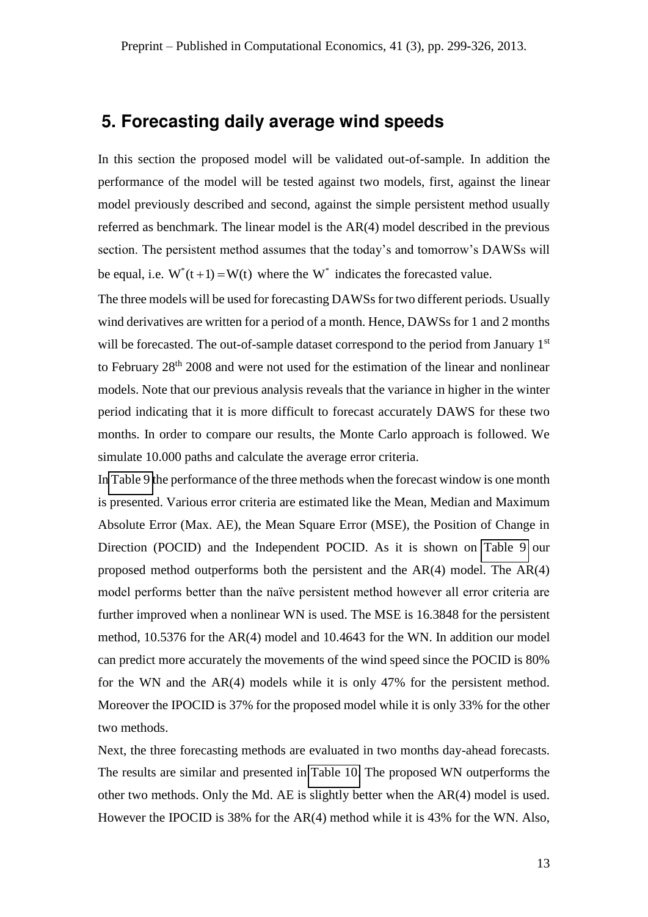#### **5. Forecasting daily average wind speeds**

In this section the proposed model will be validated out-of-sample. In addition the performance of the model will be tested against two models, first, against the linear model previously described and second, against the simple persistent method usually referred as benchmark. The linear model is the AR(4) model described in the previous section. The persistent method assumes that the today's and tomorrow's DAWSs will be equal, i.e.  $W^*(t+1) = W(t)$  where the W<sup>\*</sup> indicates the forecasted value.

The three models will be used for forecasting DAWSs for two different periods. Usually wind derivatives are written for a period of a month. Hence, DAWSs for 1 and 2 months will be forecasted. The out-of-sample dataset correspond to the period from January 1<sup>st</sup> to February 28th 2008 and were not used for the estimation of the linear and nonlinear models. Note that our previous analysis reveals that the variance in higher in the winter period indicating that it is more difficult to forecast accurately DAWS for these two months. In order to compare our results, the Monte Carlo approach is followed. We simulate 10.000 paths and calculate the average error criteria.

In [Table 9](#page-30-3) the performance of the three methods when the forecast window is one month is presented. Various error criteria are estimated like the Mean, Median and Maximum Absolute Error (Max. AE), the Mean Square Error (MSE), the Position of Change in Direction (POCID) and the Independent POCID. As it is shown on [Table 9](#page-30-3) our proposed method outperforms both the persistent and the AR(4) model. The AR(4) model performs better than the naïve persistent method however all error criteria are further improved when a nonlinear WN is used. The MSE is 16.3848 for the persistent method, 10.5376 for the AR(4) model and 10.4643 for the WN. In addition our model can predict more accurately the movements of the wind speed since the POCID is 80% for the WN and the AR(4) models while it is only 47% for the persistent method. Moreover the IPOCID is 37% for the proposed model while it is only 33% for the other two methods.

Next, the three forecasting methods are evaluated in two months day-ahead forecasts. The results are similar and presented in [Table 10.](#page-31-0) The proposed WN outperforms the other two methods. Only the Md. AE is slightly better when the AR(4) model is used. However the IPOCID is 38% for the AR(4) method while it is 43% for the WN. Also,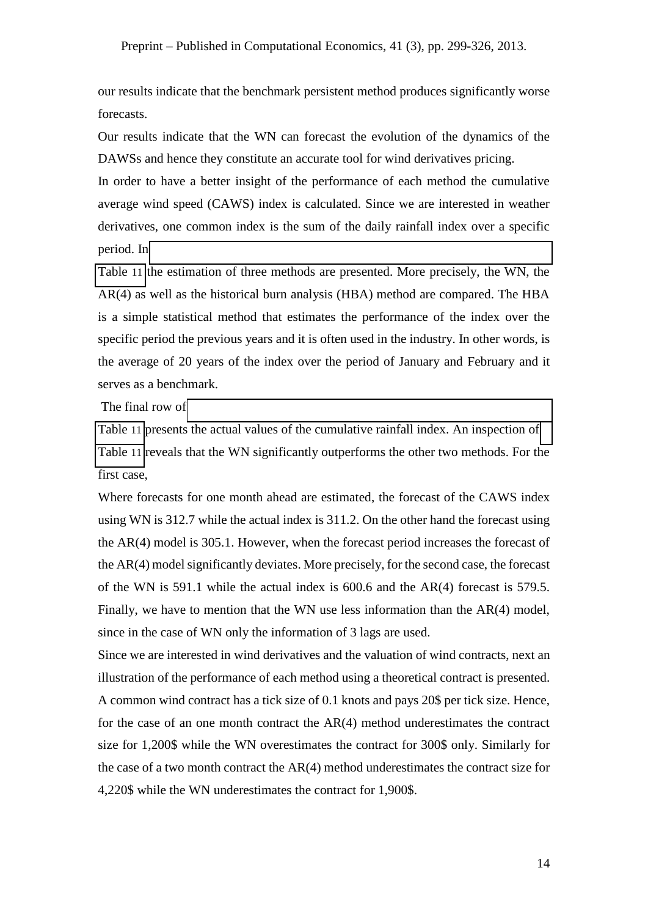our results indicate that the benchmark persistent method produces significantly worse forecasts.

Our results indicate that the WN can forecast the evolution of the dynamics of the DAWSs and hence they constitute an accurate tool for wind derivatives pricing.

In order to have a better insight of the performance of each method the cumulative average wind speed (CAWS) index is calculated. Since we are interested in weather derivatives, one common index is the sum of the daily rainfall index over a specific period. In

[Table](#page-31-1) 11 the estimation of three methods are presented. More precisely, the WN, the AR(4) as well as the historical burn analysis (HBA) method are compared. The HBA is a simple statistical method that estimates the performance of the index over the specific period the previous years and it is often used in the industry. In other words, is the average of 20 years of the index over the period of January and February and it serves as a benchmark.

<span id="page-14-0"></span>The final row of

[Table](#page-31-1) 11 presents the actual values of the cumulative rainfall index. An inspection of [Table](#page-31-1) 11 reveals that the WN significantly outperforms the other two methods. For the first case,

Where forecasts for one month ahead are estimated, the forecast of the CAWS index using WN is 312.7 while the actual index is 311.2. On the other hand the forecast using the AR(4) model is 305.1. However, when the forecast period increases the forecast of the AR(4) model significantly deviates. More precisely, for the second case, the forecast of the WN is 591.1 while the actual index is 600.6 and the AR(4) forecast is 579.5. Finally, we have to mention that the WN use less information than the AR(4) model, since in the case of WN only the information of 3 lags are used.

Since we are interested in wind derivatives and the valuation of wind contracts, next an illustration of the performance of each method using a theoretical contract is presented. A common wind contract has a tick size of 0.1 knots and pays 20\$ per tick size. Hence, for the case of an one month contract the AR(4) method underestimates the contract size for 1,200\$ while the WN overestimates the contract for 300\$ only. Similarly for the case of a two month contract the AR(4) method underestimates the contract size for 4,220\$ while the WN underestimates the contract for 1,900\$.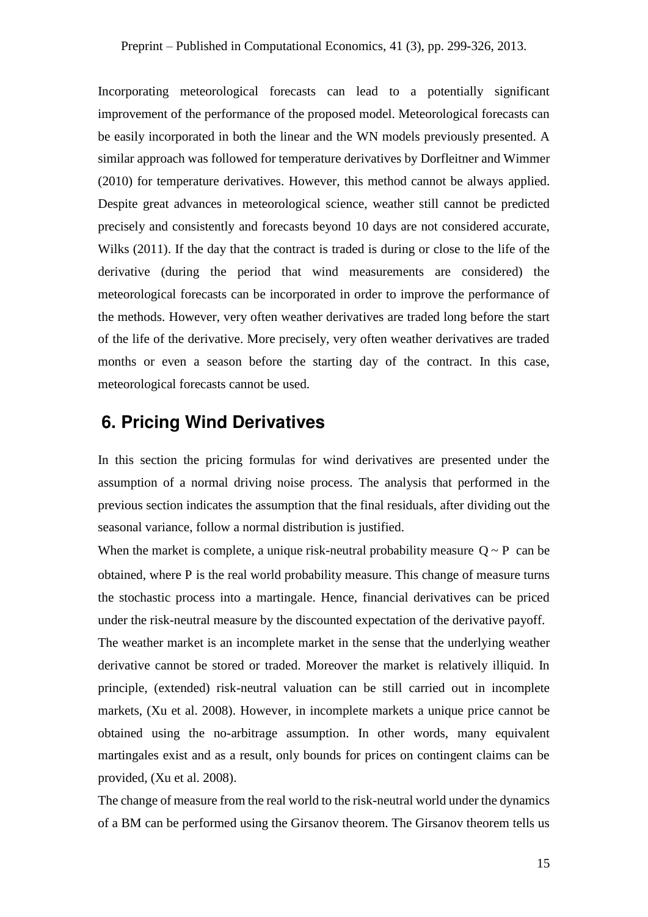Incorporating meteorological forecasts can lead to a potentially significant improvement of the performance of the proposed model. Meteorological forecasts can be easily incorporated in both the linear and the WN models previously presented. A similar approach was followed for temperature derivatives by Dorfleitner and Wimmer (2010) for temperature derivatives. However, this method cannot be always applied. Despite great advances in meteorological science, weather still cannot be predicted precisely and consistently and forecasts beyond 10 days are not considered accurate, Wilks (2011). If the day that the contract is traded is during or close to the life of the derivative (during the period that wind measurements are considered) the meteorological forecasts can be incorporated in order to improve the performance of the methods. However, very often weather derivatives are traded long before the start of the life of the derivative. More precisely, very often weather derivatives are traded months or even a season before the starting day of the contract. In this case, meteorological forecasts cannot be used.

#### **6. Pricing Wind Derivatives**

In this section the pricing formulas for wind derivatives are presented under the assumption of a normal driving noise process. The analysis that performed in the previous section indicates the assumption that the final residuals, after dividing out the seasonal variance, follow a normal distribution is justified.

When the market is complete, a unique risk-neutral probability measure  $Q \sim P$  can be obtained, where P is the real world probability measure. This change of measure turns the stochastic process into a martingale. Hence, financial derivatives can be priced under the risk-neutral measure by the discounted expectation of the derivative payoff.

The weather market is an incomplete market in the sense that the underlying weather derivative cannot be stored or traded. Moreover the market is relatively illiquid. In principle, (extended) risk-neutral valuation can be still carried out in incomplete markets, (Xu et al. 2008). However, in incomplete markets a unique price cannot be obtained using the no-arbitrage assumption. In other words, many equivalent martingales exist and as a result, only bounds for prices on contingent claims can be provided, (Xu et al. 2008).

The change of measure from the real world to the risk-neutral world under the dynamics of a BM can be performed using the Girsanov theorem. The Girsanov theorem tells us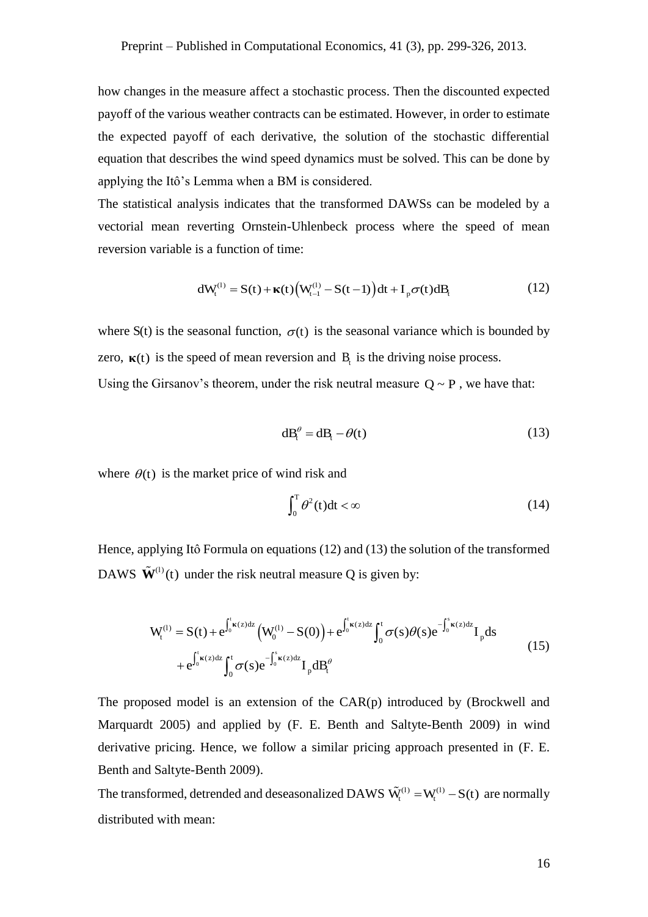how changes in the measure affect a stochastic process. Then the discounted expected payoff of the various weather contracts can be estimated. However, in order to estimate the expected payoff of each derivative, the solution of the stochastic differential equation that describes the wind speed dynamics must be solved. This can be done by applying the Itô's Lemma when a BM is considered.

<span id="page-16-0"></span>The statistical analysis indicates that the transformed DAWSs can be modeled by a vectorial mean reverting Ornstein-Uhlenbeck process where the speed of mean reversion variable is a function of time:

$$
dW_t^{(l)} = S(t) + \kappa(t) \left( W_{t-1}^{(l)} - S(t-1) \right) dt + I_p \sigma(t) dB_t \qquad (12)
$$

where S(t) is the seasonal function,  $\sigma(t)$  is the seasonal variance which is bounded by zero,  $\kappa(t)$  is the speed of mean reversion and  $B_t$  is the driving noise process.

Using the Girsanov's theorem, under the risk neutral measure  $Q \sim P$ , we have that:

$$
dB_t^{\theta} = dB_t - \theta(t) \tag{13}
$$

where  $\theta(t)$  is the market price of wind risk and

$$
\int_0^T \theta^2(t) dt < \infty \tag{14}
$$

Hence, applying Itô Formula on equations (12) and (13) the solution of the transformed DAWS  $\tilde{\mathbf{W}}^{(1)}(t)$  under the risk neutral measure O is given by:

$$
W_t^{(1)} = S(t) + e^{\int_0^t \kappa(z)dz} \left( W_0^{(1)} - S(0) \right) + e^{\int_0^t \kappa(z)dz} \int_0^t \sigma(s) \theta(s) e^{-\int_0^s \kappa(z)dz} I_p ds
$$
  
+ 
$$
e^{\int_0^t \kappa(z)dz} \int_0^t \sigma(s) e^{-\int_0^s \kappa(z)dz} I_p dB_t^{\theta}
$$
 (15)

The proposed model is an extension of the CAR(p) introduced by (Brockwell and Marquardt 2005) and applied by (F. E. Benth and Saltyte-Benth 2009) in wind derivative pricing. Hence, we follow a similar pricing approach presented in (F. E. Benth and Saltyte-Benth 2009).

The transformed, detrended and deseasonalized DAWS  $\tilde{W}_{A}^{(1)} = W_{A}^{(1)} - S(t)$  are normally distributed with mean: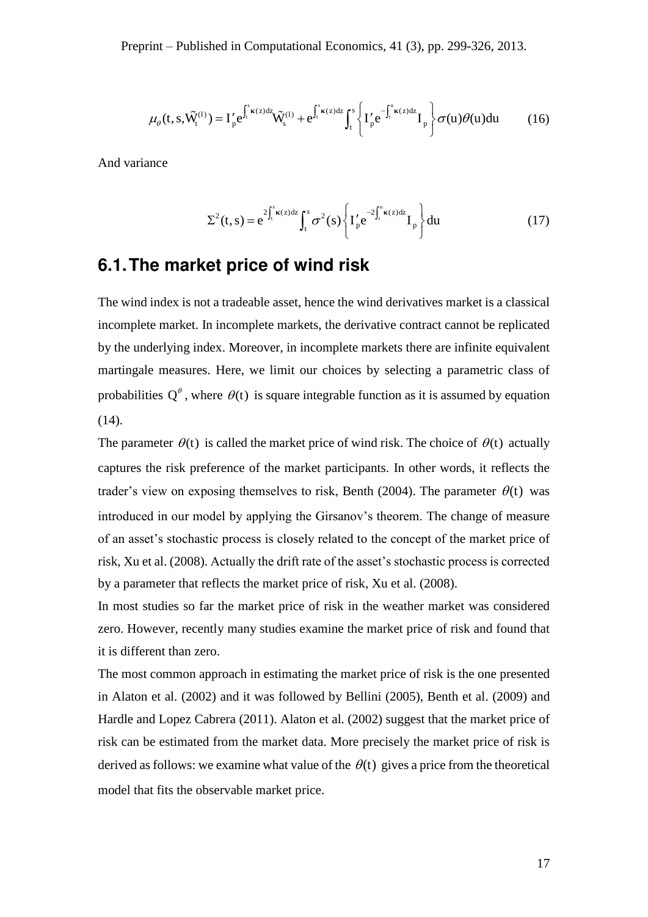$$
\mu_{\theta}(t,s,\tilde{W}_{t}^{(1)}) = I_{p}'e^{\int_{t}^{s}\kappa(z)dz}\tilde{W}_{s}^{(1)} + e^{\int_{t}^{s}\kappa(z)dz}\int_{t}^{s}\left\{I_{p}'e^{-\int_{t}^{u}\kappa(z)dz}I_{p}\right\}\sigma(u)\theta(u)du
$$
 (16)

And variance

$$
\Sigma^{2}(\mathbf{t}, \mathbf{s}) = e^{2\int_{\mathbf{t}}^{\mathbf{s}} \mathbf{\kappa}(z) dz} \int_{\mathbf{t}}^{\mathbf{s}} \sigma^{2}(\mathbf{s}) \left\{ \mathbf{I}_{p}' e^{-2\int_{\mathbf{t}}^{\mathbf{u}} \mathbf{\kappa}(z) dz} \mathbf{I}_{p} \right\} d\mathbf{u}
$$
 (17)

#### **6.1. The market price of wind risk**

The wind index is not a tradeable asset, hence the wind derivatives market is a classical incomplete market. In incomplete markets, the derivative contract cannot be replicated by the underlying index. Moreover, in incomplete markets there are infinite equivalent martingale measures. Here, we limit our choices by selecting a parametric class of probabilities  $Q^{\theta}$ , where  $\theta(t)$  is square integrable function as it is assumed by equation (14).

The parameter  $\theta(t)$  is called the market price of wind risk. The choice of  $\theta(t)$  actually captures the risk preference of the market participants. In other words, it reflects the trader's view on exposing themselves to risk, Benth (2004). The parameter  $\theta(t)$  was introduced in our model by applying the Girsanov's theorem. The change of measure of an asset's stochastic process is closely related to the concept of the market price of risk, Xu et al. (2008). Actually the drift rate of the asset's stochastic process is corrected by a parameter that reflects the market price of risk, Xu et al. (2008).

In most studies so far the market price of risk in the weather market was considered zero. However, recently many studies examine the market price of risk and found that it is different than zero.

The most common approach in estimating the market price of risk is the one presented in Alaton et al. (2002) and it was followed by Bellini (2005), Benth et al. (2009) and Hardle and Lopez Cabrera (2011). Alaton et al. (2002) suggest that the market price of risk can be estimated from the market data. More precisely the market price of risk is derived as follows: we examine what value of the  $\theta(t)$  gives a price from the theoretical model that fits the observable market price.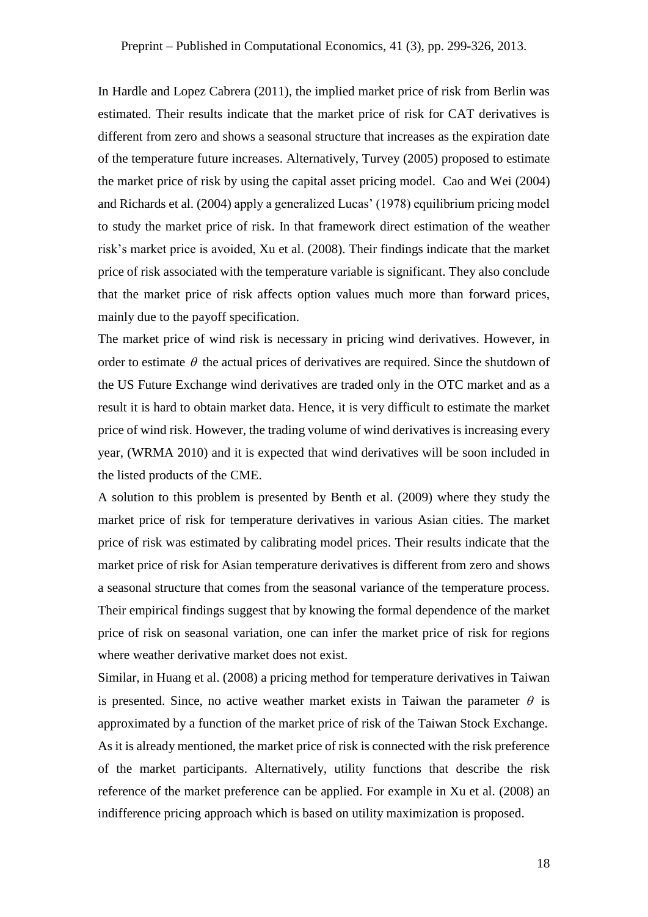<span id="page-18-0"></span>In Hardle and Lopez Cabrera (2011), the implied market price of risk from Berlin was estimated. Their results indicate that the market price of risk for CAT derivatives is different from zero and shows a seasonal structure that increases as the expiration date of the temperature future increases. Alternatively, Turvey (2005) proposed to estimate the market price of risk by using the capital asset pricing model. Cao and Wei (2004) and Richards et al. (2004) apply a generalized Lucas' (1978) equilibrium pricing model to study the market price of risk. In that framework direct estimation of the weather risk's market price is avoided, Xu et al. (2008). Their findings indicate that the market price of risk associated with the temperature variable is significant. They also conclude that the market price of risk affects option values much more than forward prices, mainly due to the payoff specification.

The market price of wind risk is necessary in pricing wind derivatives. However, in order to estimate  $\theta$  the actual prices of derivatives are required. Since the shutdown of the US Future Exchange wind derivatives are traded only in the OTC market and as a result it is hard to obtain market data. Hence, it is very difficult to estimate the market price of wind risk. However, the trading volume of wind derivatives is increasing every year, (WRMA 2010) and it is expected that wind derivatives will be soon included in the listed products of the CME.

A solution to this problem is presented by Benth et al. (2009) where they study the market price of risk for temperature derivatives in various Asian cities. The market price of risk was estimated by calibrating model prices. Their results indicate that the market price of risk for Asian temperature derivatives is different from zero and shows a seasonal structure that comes from the seasonal variance of the temperature process. Their empirical findings suggest that by knowing the formal dependence of the market price of risk on seasonal variation, one can infer the market price of risk for regions where weather derivative market does not exist.

Similar, in Huang et al. (2008) a pricing method for temperature derivatives in Taiwan is presented. Since, no active weather market exists in Taiwan the parameter  $\theta$  is approximated by a function of the market price of risk of the Taiwan Stock Exchange. As it is already mentioned, the market price of risk is connected with the risk preference of the market participants. Alternatively, utility functions that describe the risk reference of the market preference can be applied. For example in Xu et al. (2008) an indifference pricing approach which is based on utility maximization is proposed.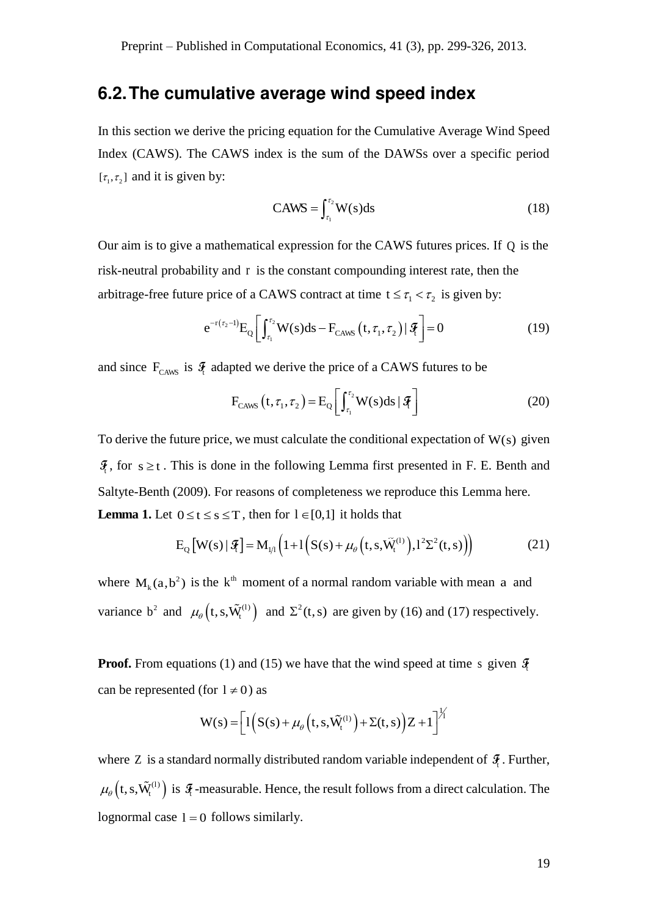#### **6.2. The cumulative average wind speed index**

In this section we derive the pricing equation for the Cumulative Average Wind Speed Index (CAWS). The CAWS index is the sum of the DAWSs over a specific period  $[\tau_1, \tau_2]$  and it is given by:

$$
CAWS = \int_{\tau_1}^{\tau_2} W(s)ds
$$
 (18)

Our aim is to give a mathematical expression for the CAWS futures prices. If Q is the risk-neutral probability and r is the constant compounding interest rate, then the arbitrage-free future price of a CAWS contract at time  $t \leq \tau_1 < \tau_2$  is given by:

$$
e^{-r(\tau_2 - 1)} E_Q \bigg[ \int_{\tau_1}^{\tau_2} W(s) ds - F_{\text{CAWS}} \left( t, \tau_1, \tau_2 \right) | \mathcal{F}_t \bigg] = 0 \tag{19}
$$

and since  $F_{CAWS}$  is  $\mathcal{F}_{A}$  adapted we derive the price of a CAWS futures to be

$$
F_{\text{CAWS}}\left(t, \tau_1, \tau_2\right) = E_Q\left[\int_{\tau_1}^{\tau_2} W(s)ds \,|\, \mathcal{F}_1\right] \tag{20}
$$

To derive the future price, we must calculate the conditional expectation of  $W(s)$  given  $\mathcal{F}_t$ , for  $s \geq t$ . This is done in the following Lemma first presented in F. E. Benth and Saltyte-Benth (2009). For reasons of completeness we reproduce this Lemma here. **Lemma 1.** Let  $0 \le t \le s \le T$ , then for  $l \in [0,1]$  it holds that

$$
E_Q\left[W(s) | \mathcal{F}_t\right] = M_{1/1}\left(1 + 1\left(S(s) + \mu_\theta\left(t, s, \tilde{W}_t^{(1)}\right), 1^2 \Sigma^2(t, s)\right)\right) \tag{21}
$$

<span id="page-19-0"></span>where  $M_k(a, b^2)$  is the k<sup>th</sup> moment of a normal random variable with mean a and variance b<sup>2</sup> and  $\mu_{\theta} (t, s, \tilde{W}_t^{(1)})$  and  $\Sigma^2 (t, s)$  are given by (16) and (17) respectively.

**Proof.** From equations (1) and (15) we have that the wind speed at time s given  $\mathcal{F}$ can be represented (for  $1 \neq 0$ ) as

$$
W(s) = \left[1\left(S(s) + \mu_{\theta}\left(t, s, \tilde{W}_{t}^{(1)}\right) + \Sigma(t, s)\right)Z + 1\right]^{\frac{1}{\sqrt{3}}}.
$$

where Z is a standard normally distributed random variable independent of  $\mathcal{F}_t$ . Further,  $\mu_{\theta}$  (t, s,  $\tilde{W}_{t}^{(1)}$ ) is  $\tilde{\mathcal{F}}$ -measurable. Hence, the result follows from a direct calculation. The lognormal case  $1 = 0$  follows similarly.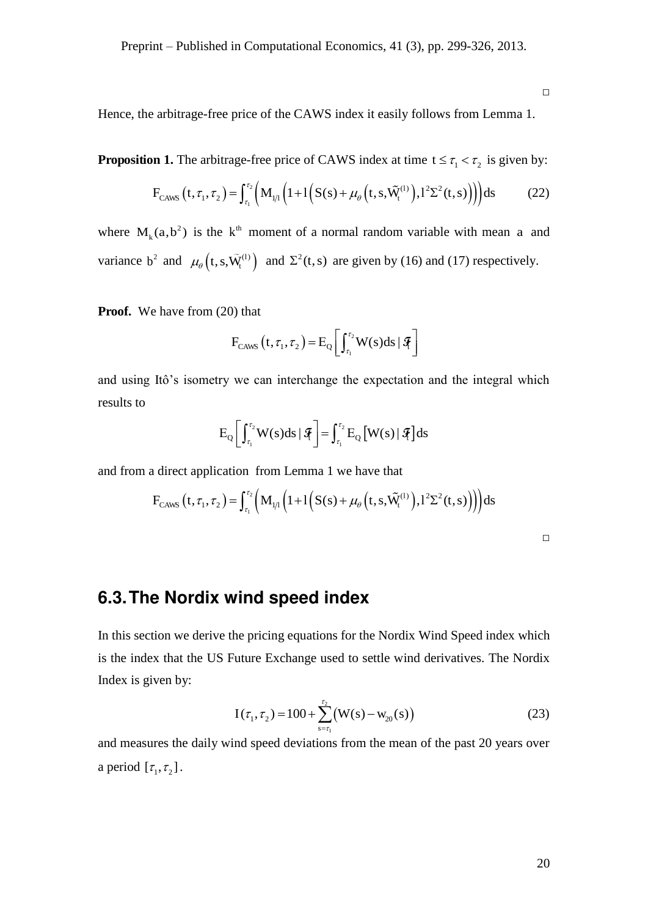Hence, the arbitrage-free price of the CAWS index it easily follows from Lemma 1.

**Proposition 1.** The arbitrage-free price of CAWS index at time  $t \le \tau_1 < \tau_2$  is given by:

$$
F_{CANS}(t, \tau_1, \tau_2) = \int_{\tau_1}^{\tau_2} \left( M_{1/1} \left( 1 + 1 \left( S(s) + \mu_\theta \left( t, s, \tilde{W}_t^{(1)} \right), l^2 \Sigma^2(t, s) \right) \right) \right) ds \tag{22}
$$

where  $M_k(a, b^2)$  is the k<sup>th</sup> moment of a normal random variable with mean a and variance b<sup>2</sup> and  $\mu_{\theta} (t, s, \tilde{W}_t^{(1)})$  and  $\Sigma^2 (t, s)$  are given by (16) and (17) respectively.

**Proof.** We have from (20) that

$$
F_{\text{CAWS}}\left(t, \tau_1, \tau_2\right) = E_Q\bigg[\int_{\tau_1}^{\tau_2} W(s)ds \mid \mathcal{F}\bigg]
$$

and using Itô's isometry we can interchange the expectation and the integral which results to

$$
E_Q\bigg[\int_{\tau_1}^{\tau_2} W(s)ds \,|\,\mathcal{F}\bigg] = \int_{\tau_1}^{\tau_2} E_Q\big[W(s) \,|\,\mathcal{F}\big]ds
$$

and from a direct application from Lemma 1 we have that

$$
F_{CANS} (t, \tau_1, \tau_2) = \int_{\tau_1}^{\tau_2} \left( M_{1/l} \left( 1 + l \left( S(s) + \mu_\theta \left( t, s, \tilde{W}_t^{(1)} \right), l^2 \Sigma^2(t, s) \right) \right) \right) ds
$$

 $\Box$ 

### **6.3. The Nordix wind speed index**

In this section we derive the pricing equations for the Nordix Wind Speed index which is the index that the US Future Exchange used to settle wind derivatives. The Nordix Index is given by:

$$
I(\tau_1, \tau_2) = 100 + \sum_{s=\tau_1}^{\tau_2} (W(s) - w_{20}(s))
$$
\n(23)

and measures the daily wind speed deviations from the mean of the past 20 years over a period  $[\tau_1, \tau_2]$ .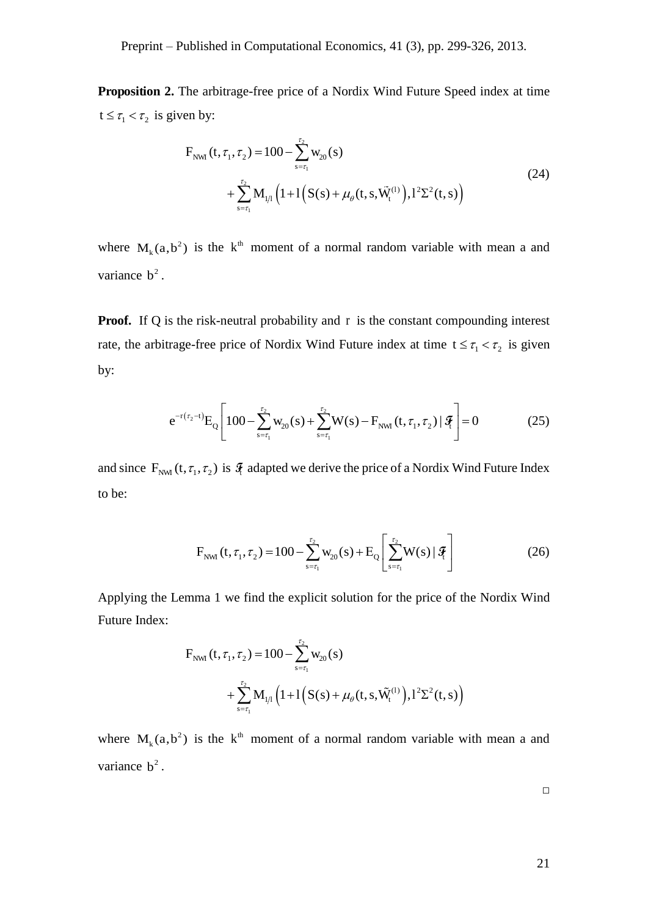<span id="page-21-0"></span>**Proposition 2.** The arbitrage-free price of a Nordix Wind Future Speed index at time  $t \leq \tau_1 < \tau_2$  is given by:

$$
F_{NWI}(t, \tau_1, \tau_2) = 100 - \sum_{s=\tau_1}^{\tau_2} w_{20}(s)
$$
  
+ 
$$
\sum_{s=\tau_1}^{\tau_2} M_{1/I} \left( 1 + 1 \left( S(s) + \mu_\theta(t, s, \tilde{W}_t^{(1)}) , 1^2 \Sigma^2(t, s) \right) \right)
$$
 (24)

where  $M_k(a, b^2)$  is the k<sup>th</sup> moment of a normal random variable with mean a and variance  $b^2$ .

**Proof.** If Q is the risk-neutral probability and r is the constant compounding interest rate, the arbitrage-free price of Nordix Wind Future index at time  $t \le \tau_1 < \tau_2$  is given by:

$$
e^{-r(\tau_2 - t)} E_Q \left[ 100 - \sum_{s = \tau_1}^{\tau_2} w_{20}(s) + \sum_{s = \tau_1}^{\tau_2} W(s) - F_{NM}(t, \tau_1, \tau_2) \, | \, \mathcal{F} \right] = 0 \tag{25}
$$

and since  $F_{NMI}(t, \tau_1, \tau_2)$  is  $\mathcal{F}_t$  adapted we derive the price of a Nordix Wind Future Index to be:

$$
F_{NWI}(t, \tau_1, \tau_2) = 100 - \sum_{s=\tau_1}^{\tau_2} w_{20}(s) + E_Q \left[ \sum_{s=\tau_1}^{\tau_2} W(s) | \mathcal{F}_t \right]
$$
(26)

Applying the Lemma 1 we find the explicit solution for the price of the Nordix Wind Future Index:

$$
F_{NM} (t, \tau_1, \tau_2) = 100 - \sum_{s=\tau_1}^{\tau_2} w_{20}(s)
$$
  
+ 
$$
\sum_{s=\tau_1}^{\tau_2} M_{1/l} \left( 1 + 1 \left( S(s) + \mu_\theta(t, s, \tilde{W}_t^{(1)}) \right), 1^2 \Sigma^2(t, s) \right)
$$

where  $M_k(a, b^2)$  is the k<sup>th</sup> moment of a normal random variable with mean a and variance  $b^2$ .

ゴ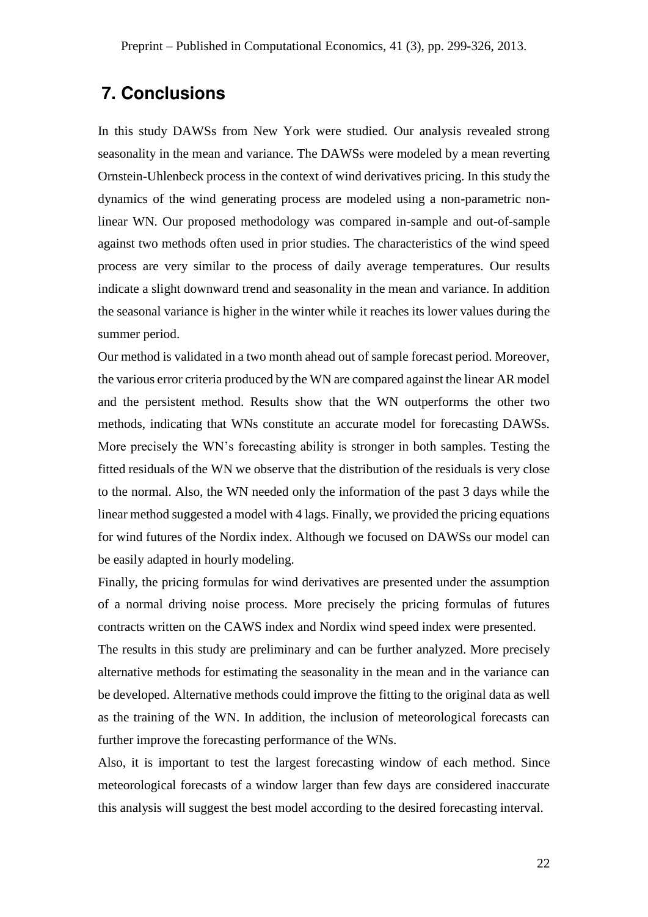### **7. Conclusions**

In this study DAWSs from New York were studied. Our analysis revealed strong seasonality in the mean and variance. The DAWSs were modeled by a mean reverting Ornstein-Uhlenbeck process in the context of wind derivatives pricing. In this study the dynamics of the wind generating process are modeled using a non-parametric nonlinear WN. Our proposed methodology was compared in-sample and out-of-sample against two methods often used in prior studies. The characteristics of the wind speed process are very similar to the process of daily average temperatures. Our results indicate a slight downward trend and seasonality in the mean and variance. In addition the seasonal variance is higher in the winter while it reaches its lower values during the summer period.

Our method is validated in a two month ahead out of sample forecast period. Moreover, the various error criteria produced by the WN are compared against the linear AR model and the persistent method. Results show that the WN outperforms the other two methods, indicating that WNs constitute an accurate model for forecasting DAWSs. More precisely the WN's forecasting ability is stronger in both samples. Testing the fitted residuals of the WN we observe that the distribution of the residuals is very close to the normal. Also, the WN needed only the information of the past 3 days while the linear method suggested a model with 4 lags. Finally, we provided the pricing equations for wind futures of the Nordix index. Although we focused on DAWSs our model can be easily adapted in hourly modeling.

Finally, the pricing formulas for wind derivatives are presented under the assumption of a normal driving noise process. More precisely the pricing formulas of futures contracts written on the CAWS index and Nordix wind speed index were presented. The results in this study are preliminary and can be further analyzed. More precisely

alternative methods for estimating the seasonality in the mean and in the variance can be developed. Alternative methods could improve the fitting to the original data as well as the training of the WN. In addition, the inclusion of meteorological forecasts can further improve the forecasting performance of the WNs.

Also, it is important to test the largest forecasting window of each method. Since meteorological forecasts of a window larger than few days are considered inaccurate this analysis will suggest the best model according to the desired forecasting interval.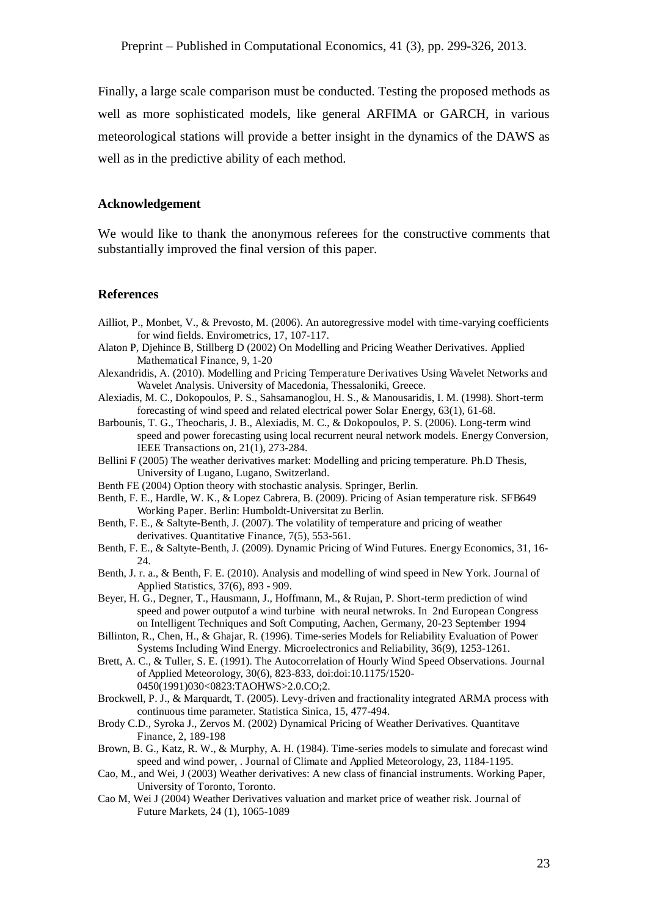Finally, a large scale comparison must be conducted. Testing the proposed methods as well as more sophisticated models, like general ARFIMA or GARCH, in various meteorological stations will provide a better insight in the dynamics of the DAWS as well as in the predictive ability of each method.

#### **Acknowledgement**

We would like to thank the anonymous referees for the constructive comments that substantially improved the final version of this paper.

#### **References**

- Ailliot, P., Monbet, V., & Prevosto, M. (2006). An autoregressive model with time-varying coefficients for wind fields. Envirometrics, 17, 107-117.
- Alaton P, Djehince B, Stillberg D (2002) On Modelling and Pricing Weather Derivatives. Applied Mathematical Finance, 9, 1-20
- Alexandridis, A. (2010). Modelling and Pricing Temperature Derivatives Using Wavelet Networks and Wavelet Analysis. University of Macedonia, Thessaloniki, Greece.
- Alexiadis, M. C., Dokopoulos, P. S., Sahsamanoglou, H. S., & Manousaridis, I. M. (1998). Short-term forecasting of wind speed and related electrical power Solar Energy, 63(1), 61-68.
- Barbounis, T. G., Theocharis, J. B., Alexiadis, M. C., & Dokopoulos, P. S. (2006). Long-term wind speed and power forecasting using local recurrent neural network models. Energy Conversion, IEEE Transactions on, 21(1), 273-284.
- Bellini F (2005) The weather derivatives market: Modelling and pricing temperature. Ph.D Thesis, University of Lugano, Lugano, Switzerland.
- Benth FE (2004) Option theory with stochastic analysis. Springer, Berlin.
- Benth, F. E., Hardle, W. K., & Lopez Cabrera, B. (2009). Pricing of Asian temperature risk. SFB649 Working Paper. Berlin: Humboldt-Universitat zu Berlin.
- Benth, F. E., & Saltyte-Benth, J. (2007). The volatility of temperature and pricing of weather derivatives. Quantitative Finance, 7(5), 553-561.
- Benth, F. E., & Saltyte-Benth, J. (2009). Dynamic Pricing of Wind Futures. Energy Economics, 31, 16- 24.
- Benth, J. r. a., & Benth, F. E. (2010). Analysis and modelling of wind speed in New York. Journal of Applied Statistics, 37(6), 893 - 909.
- Beyer, H. G., Degner, T., Hausmann, J., Hoffmann, M., & Rujan, P. Short-term prediction of wind speed and power outputof a wind turbine with neural netwroks. In 2nd European Congress on Intelligent Techniques and Soft Computing, Aachen, Germany, 20-23 September 1994
- Billinton, R., Chen, H., & Ghajar, R. (1996). Time-series Models for Reliability Evaluation of Power Systems Including Wind Energy. Microelectronics and Reliability, 36(9), 1253-1261.
- Brett, A. C., & Tuller, S. E. (1991). The Autocorrelation of Hourly Wind Speed Observations. Journal of Applied Meteorology, 30(6), 823-833, doi:doi:10.1175/1520- 0450(1991)030<0823:TAOHWS>2.0.CO;2.
- Brockwell, P. J., & Marquardt, T. (2005). Levy-driven and fractionality integrated ARMA process with continuous time parameter. Statistica Sinica, 15, 477-494.
- Brody C.D., Syroka J., Zervos M. (2002) Dynamical Pricing of Weather Derivatives. Quantitave Finance, 2, 189-198
- Brown, B. G., Katz, R. W., & Murphy, A. H. (1984). Time-series models to simulate and forecast wind speed and wind power, . Journal of Climate and Applied Meteorology, 23, 1184-1195.
- Cao, M., and Wei, J (2003) Weather derivatives: A new class of financial instruments. Working Paper, University of Toronto, Toronto.
- Cao M, Wei J (2004) Weather Derivatives valuation and market price of weather risk. Journal of Future Markets, 24 (1), 1065-1089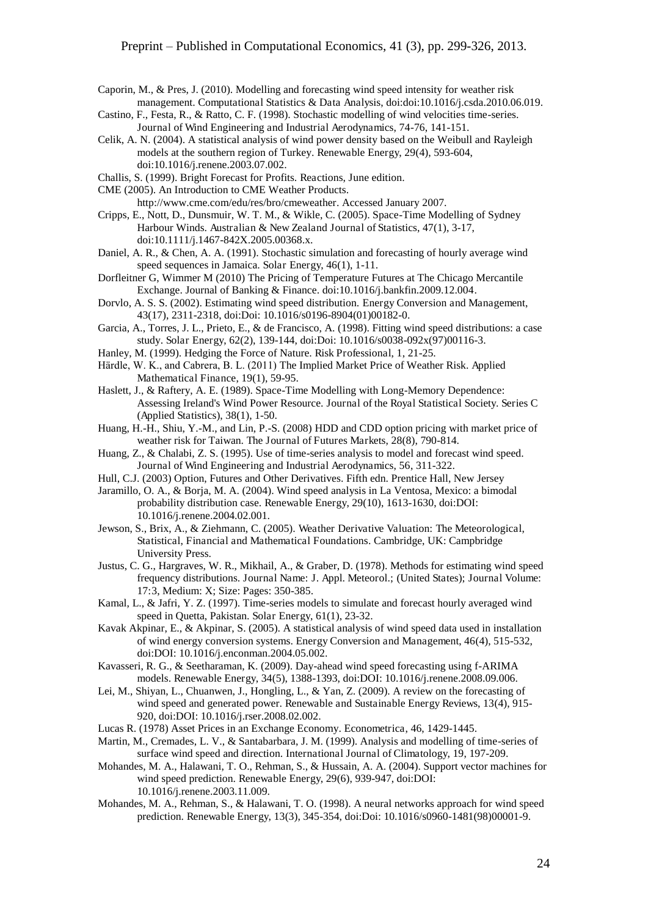- Caporin, M., & Pres, J. (2010). Modelling and forecasting wind speed intensity for weather risk management. Computational Statistics & Data Analysis, doi:doi:10.1016/j.csda.2010.06.019.
- Castino, F., Festa, R., & Ratto, C. F. (1998). Stochastic modelling of wind velocities time-series. Journal of Wind Engineering and Industrial Aerodynamics, 74-76, 141-151.
- Celik, A. N. (2004). A statistical analysis of wind power density based on the Weibull and Rayleigh models at the southern region of Turkey. Renewable Energy, 29(4), 593-604, doi:10.1016/j.renene.2003.07.002.
- Challis, S. (1999). Bright Forecast for Profits. Reactions, June edition.
- CME (2005). An Introduction to CME Weather Products.
	- http://www.cme.com/edu/res/bro/cmeweather. Accessed January 2007.
- Cripps, E., Nott, D., Dunsmuir, W. T. M., & Wikle, C. (2005). Space-Time Modelling of Sydney Harbour Winds. Australian & New Zealand Journal of Statistics, 47(1), 3-17, doi:10.1111/j.1467-842X.2005.00368.x.
- Daniel, A. R., & Chen, A. A. (1991). Stochastic simulation and forecasting of hourly average wind speed sequences in Jamaica. Solar Energy, 46(1), 1-11.
- Dorfleitner G, Wimmer M (2010) The Pricing of Temperature Futures at The Chicago Mercantile Exchange. Journal of Banking & Finance. doi:10.1016/j.bankfin.2009.12.004.
- Dorvlo, A. S. S. (2002). Estimating wind speed distribution. Energy Conversion and Management, 43(17), 2311-2318, doi:Doi: 10.1016/s0196-8904(01)00182-0.
- Garcia, A., Torres, J. L., Prieto, E., & de Francisco, A. (1998). Fitting wind speed distributions: a case study. Solar Energy, 62(2), 139-144, doi:Doi: 10.1016/s0038-092x(97)00116-3.
- Hanley, M. (1999). Hedging the Force of Nature. Risk Professional, 1, 21-25.
- Härdle, W. K., and Cabrera, B. L. (2011) The Implied Market Price of Weather Risk. Applied Mathematical Finance, 19(1), 59-95.
- Haslett, J., & Raftery, A. E. (1989). Space-Time Modelling with Long-Memory Dependence: Assessing Ireland's Wind Power Resource. Journal of the Royal Statistical Society. Series C (Applied Statistics), 38(1), 1-50.
- Huang, H.-H., Shiu, Y.-M., and Lin, P.-S. (2008) HDD and CDD option pricing with market price of weather risk for Taiwan. The Journal of Futures Markets, 28(8), 790-814.
- Huang, Z., & Chalabi, Z. S. (1995). Use of time-series analysis to model and forecast wind speed. Journal of Wind Engineering and Industrial Aerodynamics, 56, 311-322.
- Hull, C.J. (2003) Option, Futures and Other Derivatives. Fifth edn. Prentice Hall, New Jersey
- Jaramillo, O. A., & Borja, M. A. (2004). Wind speed analysis in La Ventosa, Mexico: a bimodal probability distribution case. Renewable Energy, 29(10), 1613-1630, doi:DOI: 10.1016/j.renene.2004.02.001.
- Jewson, S., Brix, A., & Ziehmann, C. (2005). Weather Derivative Valuation: The Meteorological, Statistical, Financial and Mathematical Foundations. Cambridge, UK: Campbridge University Press.
- Justus, C. G., Hargraves, W. R., Mikhail, A., & Graber, D. (1978). Methods for estimating wind speed frequency distributions. Journal Name: J. Appl. Meteorol.; (United States); Journal Volume: 17:3, Medium: X; Size: Pages: 350-385.
- Kamal, L., & Jafri, Y. Z. (1997). Time-series models to simulate and forecast hourly averaged wind speed in Quetta, Pakistan. Solar Energy, 61(1), 23-32.
- Kavak Akpinar, E., & Akpinar, S. (2005). A statistical analysis of wind speed data used in installation of wind energy conversion systems. Energy Conversion and Management, 46(4), 515-532, doi:DOI: 10.1016/j.enconman.2004.05.002.
- Kavasseri, R. G., & Seetharaman, K. (2009). Day-ahead wind speed forecasting using f-ARIMA models. Renewable Energy, 34(5), 1388-1393, doi:DOI: 10.1016/j.renene.2008.09.006.
- Lei, M., Shiyan, L., Chuanwen, J., Hongling, L., & Yan, Z. (2009). A review on the forecasting of wind speed and generated power. Renewable and Sustainable Energy Reviews, 13(4), 915- 920, doi:DOI: 10.1016/j.rser.2008.02.002.
- Lucas R. (1978) Asset Prices in an Exchange Economy. Econometrica, 46, 1429-1445.
- Martin, M., Cremades, L. V., & Santabarbara, J. M. (1999). Analysis and modelling of time-series of surface wind speed and direction. International Journal of Climatology, 19, 197-209.
- Mohandes, M. A., Halawani, T. O., Rehman, S., & Hussain, A. A. (2004). Support vector machines for wind speed prediction. Renewable Energy, 29(6), 939-947, doi:DOI: 10.1016/j.renene.2003.11.009.
- Mohandes, M. A., Rehman, S., & Halawani, T. O. (1998). A neural networks approach for wind speed prediction. Renewable Energy, 13(3), 345-354, doi:Doi: 10.1016/s0960-1481(98)00001-9.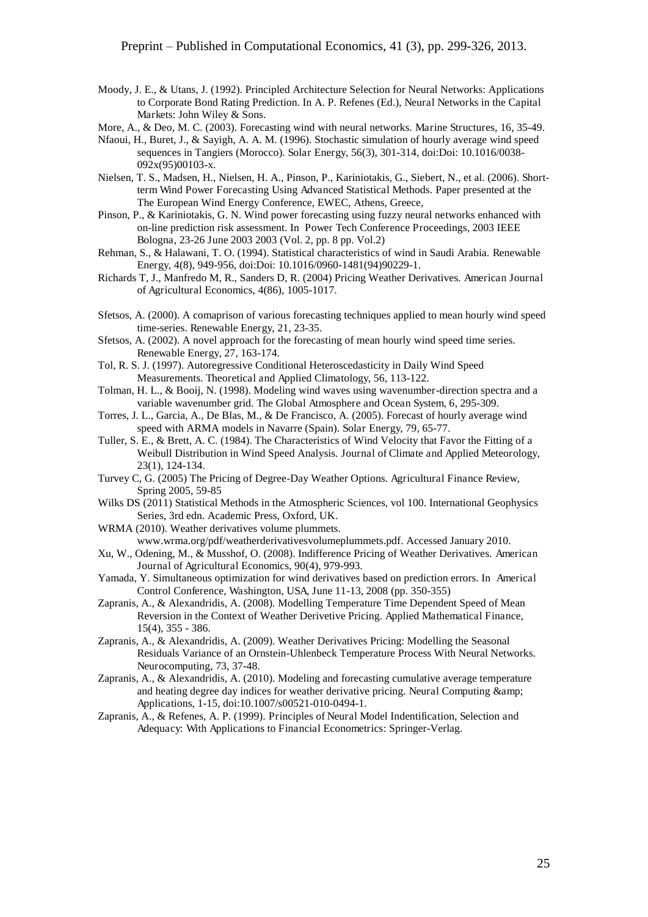- Moody, J. E., & Utans, J. (1992). Principled Architecture Selection for Neural Networks: Applications to Corporate Bond Rating Prediction. In A. P. Refenes (Ed.), Neural Networks in the Capital Markets: John Wiley & Sons.
- More, A., & Deo, M. C. (2003). Forecasting wind with neural networks. Marine Structures, 16, 35-49.
- Nfaoui, H., Buret, J., & Sayigh, A. A. M. (1996). Stochastic simulation of hourly average wind speed sequences in Tangiers (Morocco). Solar Energy, 56(3), 301-314, doi:Doi: 10.1016/0038- 092x(95)00103-x.
- Nielsen, T. S., Madsen, H., Nielsen, H. A., Pinson, P., Kariniotakis, G., Siebert, N., et al. (2006). Shortterm Wind Power Forecasting Using Advanced Statistical Methods. Paper presented at the The European Wind Energy Conference, EWEC, Athens, Greece,
- Pinson, P., & Kariniotakis, G. N. Wind power forecasting using fuzzy neural networks enhanced with on-line prediction risk assessment. In Power Tech Conference Proceedings, 2003 IEEE Bologna, 23-26 June 2003 2003 (Vol. 2, pp. 8 pp. Vol.2)
- Rehman, S., & Halawani, T. O. (1994). Statistical characteristics of wind in Saudi Arabia. Renewable Energy, 4(8), 949-956, doi:Doi: 10.1016/0960-1481(94)90229-1.
- <span id="page-25-0"></span>Richards T, J., Manfredo M, R., Sanders D, R. (2004) Pricing Weather Derivatives. American Journal of Agricultural Economics, 4(86), 1005-1017.
- Sfetsos, A. (2000). A comaprison of various forecasting techniques applied to mean hourly wind speed time-series. Renewable Energy, 21, 23-35.
- Sfetsos, A. (2002). A novel approach for the forecasting of mean hourly wind speed time series. Renewable Energy, 27, 163-174.
- Tol, R. S. J. (1997). Autoregressive Conditional Heteroscedasticity in Daily Wind Speed Measurements. Theoretical and Applied Climatology, 56, 113-122.
- Tolman, H. L., & Booij, N. (1998). Modeling wind waves using wavenumber-direction spectra and a variable wavenumber grid. The Global Atmosphere and Ocean System, 6, 295-309.
- Torres, J. L., Garcia, A., De Blas, M., & De Francisco, A. (2005). Forecast of hourly average wind speed with ARMA models in Navarre (Spain). Solar Energy, 79, 65-77.
- Tuller, S. E., & Brett, A. C. (1984). The Characteristics of Wind Velocity that Favor the Fitting of a Weibull Distribution in Wind Speed Analysis. Journal of Climate and Applied Meteorology, 23(1), 124-134.
- <span id="page-25-1"></span>Turvey C, G. (2005) The Pricing of Degree-Day Weather Options. Agricultural Finance Review, Spring 2005, 59-85
- Wilks DS (2011) Statistical Methods in the Atmospheric Sciences, vol 100. International Geophysics Series, 3rd edn. Academic Press, Oxford, UK.
- WRMA (2010). Weather derivatives volume plummets.

www.wrma.org/pdf/weatherderivativesvolumeplummets.pdf. Accessed January 2010.

- Xu, W., Odening, M., & Musshof, O. (2008). Indifference Pricing of Weather Derivatives. American Journal of Agricultural Economics, 90(4), 979-993.
- Yamada, Y. Simultaneous optimization for wind derivatives based on prediction errors. In Americal Control Conference, Washington, USA, June 11-13, 2008 (pp. 350-355)
- Zapranis, A., & Alexandridis, A. (2008). Modelling Temperature Time Dependent Speed of Mean Reversion in the Context of Weather Derivetive Pricing. Applied Mathematical Finance, 15(4), 355 - 386.
- <span id="page-25-2"></span>Zapranis, A., & Alexandridis, A. (2009). Weather Derivatives Pricing: Modelling the Seasonal Residuals Variance of an Ornstein-Uhlenbeck Temperature Process With Neural Networks. Neurocomputing, 73, 37-48.
- Zapranis, A., & Alexandridis, A. (2010). Modeling and forecasting cumulative average temperature and heating degree day indices for weather derivative pricing. Neural Computing & Applications, 1-15, doi:10.1007/s00521-010-0494-1.
- Zapranis, A., & Refenes, A. P. (1999). Principles of Neural Model Indentification, Selection and Adequacy: With Applications to Financial Econometrics: Springer-Verlag.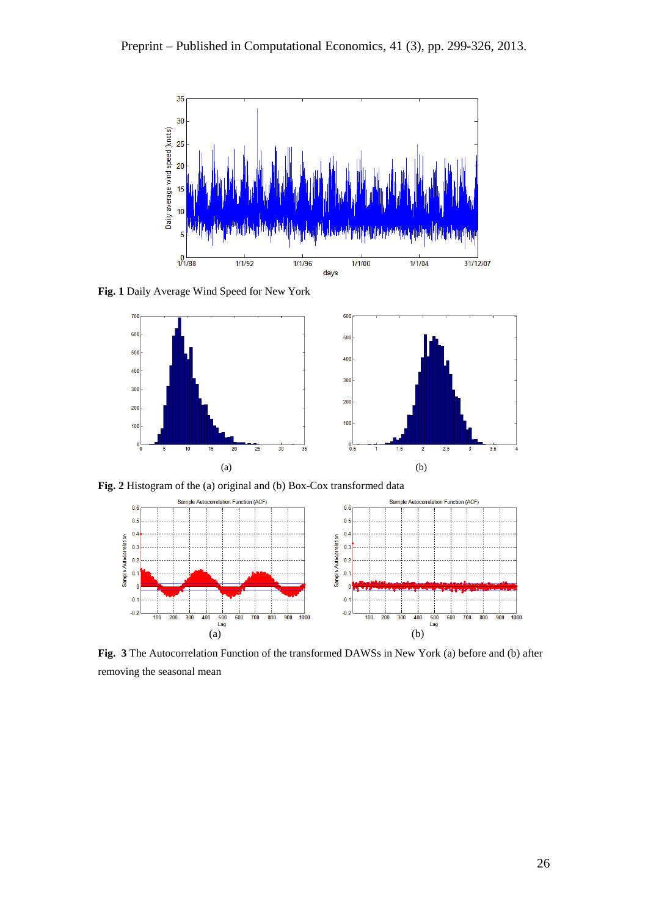

<span id="page-26-0"></span>**Fig. 1** Daily Average Wind Speed for New York

<span id="page-26-1"></span>

<span id="page-26-3"></span><span id="page-26-2"></span>**Fig. 3** The Autocorrelation Function of the transformed DAWSs in New York (a) before and (b) after removing the seasonal mean

 $(a)$  (b)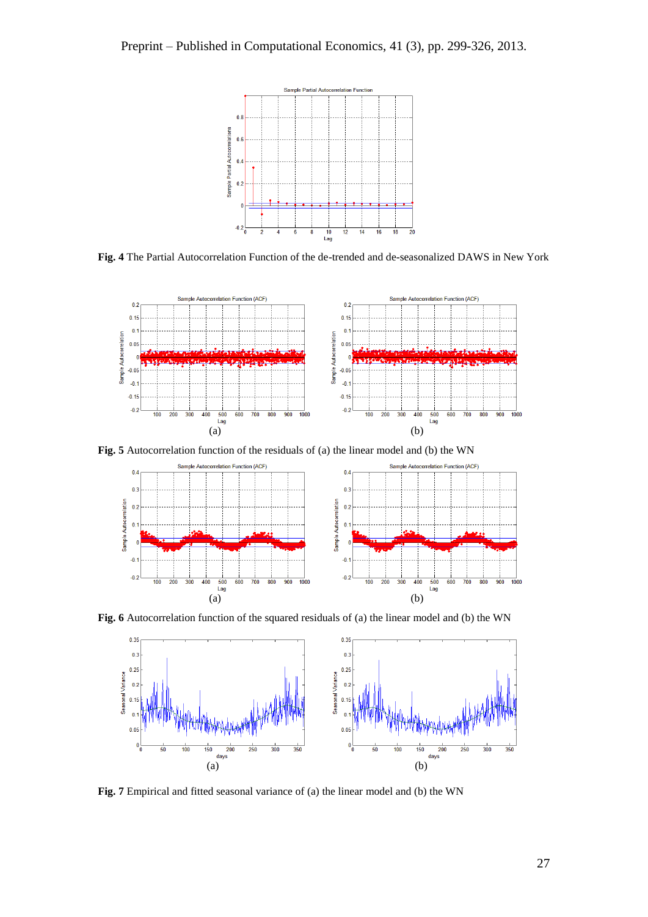

<span id="page-27-0"></span>**Fig. 4** The Partial Autocorrelation Function of the de-trended and de-seasonalized DAWS in New York



**Fig. 5** Autocorrelation function of the residuals of (a) the linear model and (b) the WN



<span id="page-27-1"></span>**Fig. 6** Autocorrelation function of the squared residuals of (a) the linear model and (b) the WN



**Fig. 7** Empirical and fitted seasonal variance of (a) the linear model and (b) the WN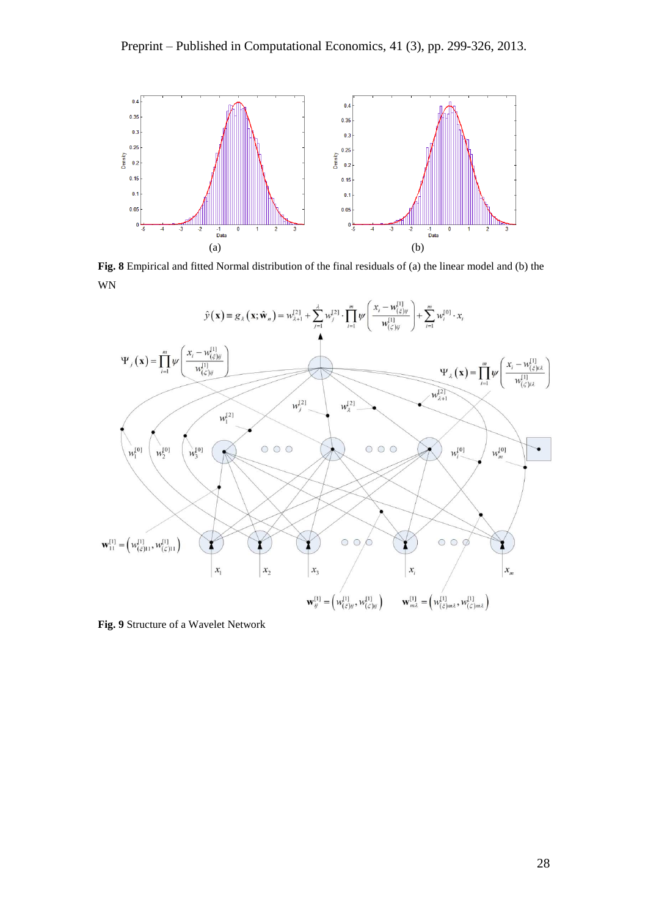

**Fig. 8** Empirical and fitted Normal distribution of the final residuals of (a) the linear model and (b) the WN



<span id="page-28-0"></span>**Fig. 9** Structure of a Wavelet Network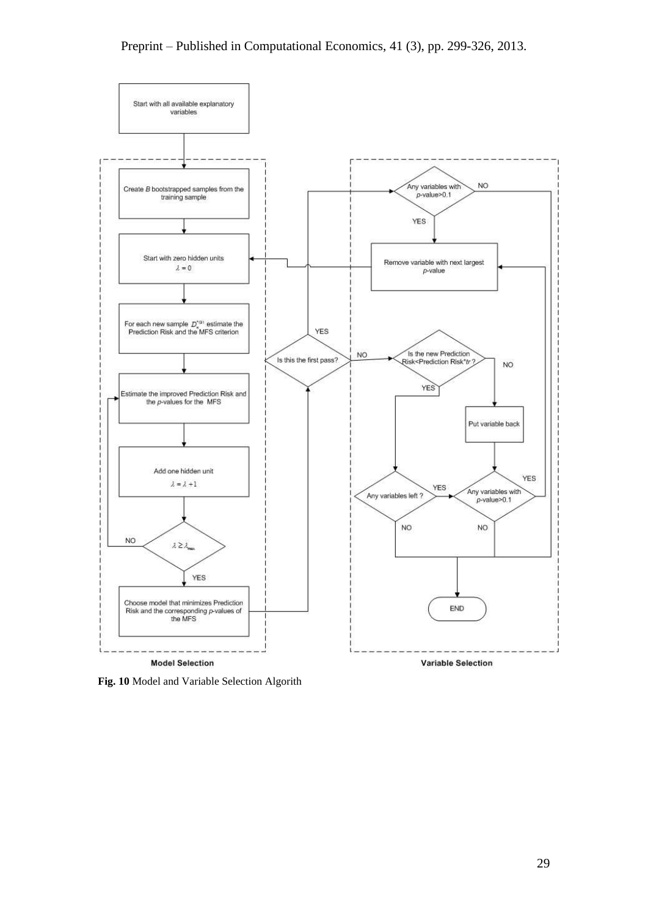<span id="page-29-5"></span>

<span id="page-29-4"></span><span id="page-29-3"></span><span id="page-29-2"></span><span id="page-29-1"></span><span id="page-29-0"></span>**Fig. 10** Model and Variable Selection Algorith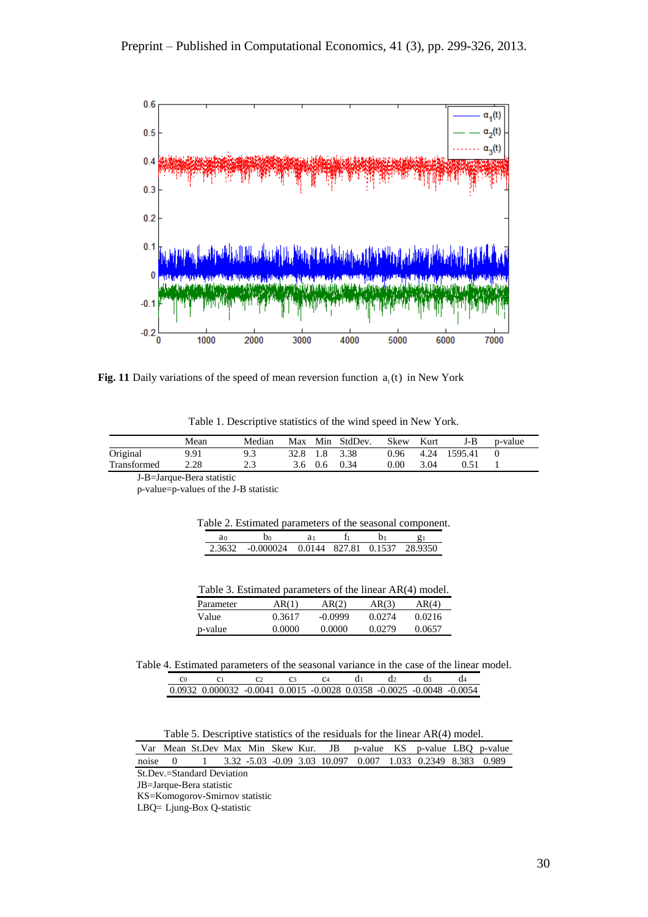<span id="page-30-0"></span>

<span id="page-30-2"></span><span id="page-30-1"></span>**Fig. 11** Daily variations of the speed of mean reversion function  $a_i(t)$  in New York

|             | Mean | Median |                            | Max Min StdDev. | Skew Kurt |      | J-B               | p-value |  |
|-------------|------|--------|----------------------------|-----------------|-----------|------|-------------------|---------|--|
| Original    | 9.91 | 9.3    |                            | 32.8 1.8 3.38   |           |      | 0.96 4.24 1595.41 | - 0     |  |
| Transformed | 2.28 | 2.3    | $3.6 \quad 0.6 \quad 0.34$ |                 | $0.00\,$  | 3.04 | 0.51              |         |  |

Table 1. Descriptive statistics of the wind speed in New York.

J-B=Jarque-Bera statistic

<span id="page-30-3"></span> $\blacksquare$ 

p-value=p-values of the J-B statistic

|  |  | Table 2. Estimated parameters of the seasonal component. |
|--|--|----------------------------------------------------------|
|  |  |                                                          |

| a0 |                                               |  |  |
|----|-----------------------------------------------|--|--|
|    | 2.3632 -0.000024 0.0144 827.81 0.1537 28.9350 |  |  |

| Table 3. Estimated parameters of the linear AR(4) model. |        |           |        |        |
|----------------------------------------------------------|--------|-----------|--------|--------|
| Parameter                                                | AR(1)  | AR(2)     | AR(3)  | AR(4)  |
| Value                                                    | 0.3617 | $-0.0999$ | 0.0274 | 0.0216 |
| p-value                                                  | 0.0000 | 0.0000    | 0.0279 | 0.0657 |

Table 4. Estimated parameters of the seasonal variance in the case of the linear model.

| $0.0932$ $0.000032$ $-0.0041$ $0.0015$ $-0.0028$ $0.0358$ $-0.0025$ $-0.0048$ $-0.0054$ |  |  |  |  |
|-----------------------------------------------------------------------------------------|--|--|--|--|

Table 5. Descriptive statistics of the residuals for the linear AR(4) model.

|         |  |  |  |                                                               |  | Var Mean St.Dev Max Min Skew Kur. JB p-value KS p-value LBQ p-value |
|---------|--|--|--|---------------------------------------------------------------|--|---------------------------------------------------------------------|
| noise 0 |  |  |  | 1 3.32 -5.03 -0.09 3.03 10.097 0.007 1.033 0.2349 8.383 0.989 |  |                                                                     |

St.Dev.=Standard Deviation

JB=Jarque-Bera statistic

KS=Komogorov-Smirnov statistic

LBQ= Ljung-Box Q-statistic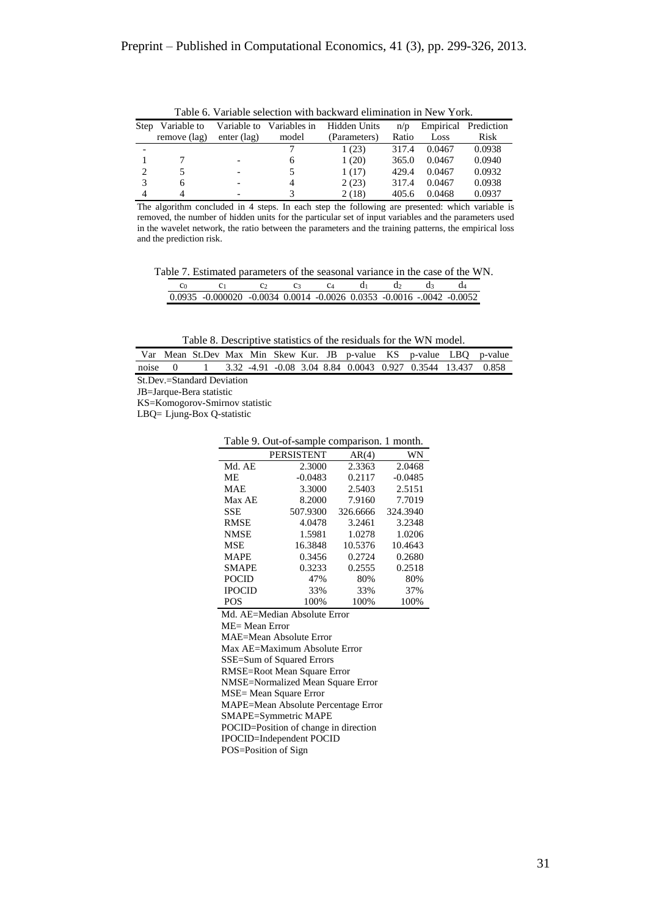<span id="page-31-0"></span>

|                  |                          |              | Table 6. Variable selection with backward elimination in New York. |       |        |                      |
|------------------|--------------------------|--------------|--------------------------------------------------------------------|-------|--------|----------------------|
| Step Variable to |                          |              | Variable to Variables in Hidden Units                              | n/p   |        | Empirical Prediction |
| remove (lag)     | enter (lag)              | model        | (Parameters)                                                       | Ratio | Loss   | Risk                 |
|                  |                          |              | 1(23)                                                              | 317.4 | 0.0467 | 0.0938               |
|                  |                          | <sub>6</sub> | 1(20)                                                              | 365.0 | 0.0467 | 0.0940               |
|                  | $\overline{\phantom{0}}$ |              | 1(17)                                                              | 429.4 | 0.0467 | 0.0932               |
|                  |                          | 4            | 2(23)                                                              | 317.4 | 0.0467 | 0.0938               |
|                  |                          |              | 2(18)                                                              | 405.6 | 0.0468 | 0.0937               |

Table 6. Variable selection with backward elimination in New York.

The algorithm concluded in 4 steps. In each step the following are presented: which variable is removed, the number of hidden units for the particular set of input variables and the parameters used in the wavelet network, the ratio between the parameters and the training patterns, the empirical loss and the prediction risk.

Table 7. Estimated parameters of the seasonal variance in the case of the WN.

| $0.0935 - 0.000020 - 0.0034 - 0.0014 - 0.0026 - 0.0353 - 0.0016 - 0.0042 - 0.0052$ |  |  |  |  |
|------------------------------------------------------------------------------------|--|--|--|--|

Table 8. Descriptive statistics of the residuals for the WN model.

|  |                                                                                 |  |  |                                                                       |  | Var Mean St.Dev Max Min Skew Kur. JB p-value KS p-value LBQ p-value |
|--|---------------------------------------------------------------------------------|--|--|-----------------------------------------------------------------------|--|---------------------------------------------------------------------|
|  |                                                                                 |  |  | noise 0 1 3.32 -4.91 -0.08 3.04 8.84 0.0043 0.927 0.3544 13.437 0.858 |  |                                                                     |
|  | $\alpha \cdot \mathbf{D}$ $\alpha \cdot \mathbf{1}$ $\mathbf{1D}$ $\mathbf{1D}$ |  |  |                                                                       |  |                                                                     |

St.Dev.=Standard Deviation

JB=Jarque-Bera statistic

KS=Komogorov-Smirnov statistic

<span id="page-31-1"></span>LBQ= Ljung-Box Q-statistic

#### Table 9. Out-of-sample comparison. 1 month.

|               | PERSISTENT | AR(4)    | WN        |
|---------------|------------|----------|-----------|
| Md. AE        | 2.3000     | 2.3363   | 2.0468    |
| МE            | $-0.0483$  | 0.2117   | $-0.0485$ |
| <b>MAE</b>    | 3.3000     | 2.5403   | 2.5151    |
| Max AE        | 8.2000     | 7.9160   | 7.7019    |
| SSE           | 507.9300   | 326.6666 | 324.3940  |
| <b>RMSE</b>   | 4.0478     | 3.2461   | 3.2348    |
| <b>NMSE</b>   | 1.5981     | 1.0278   | 1.0206    |
| <b>MSE</b>    | 16.3848    | 10.5376  | 10.4643   |
| <b>MAPE</b>   | 0.3456     | 0.2724   | 0.2680    |
| <b>SMAPE</b>  | 0.3233     | 0.2555   | 0.2518    |
| <b>POCID</b>  | 47%        | 80%      | 80%       |
| <b>IPOCID</b> | 33%        | 33%      | 37%       |
| <b>POS</b>    | 100%       | 100%     | 100%      |

Md. AE=Median Absolute Error

ME= Mean Error

MAE=Mean Absolute Error

Max AE=Maximum Absolute Error

SSE=Sum of Squared Errors

RMSE=Root Mean Square Error NMSE=Normalized Mean Square Error

MSE= Mean Square Error

MAPE=Mean Absolute Percentage Error

SMAPE=Symmetric MAPE

POCID=Position of change in direction

IPOCID=Independent POCID

POS=Position of Sign